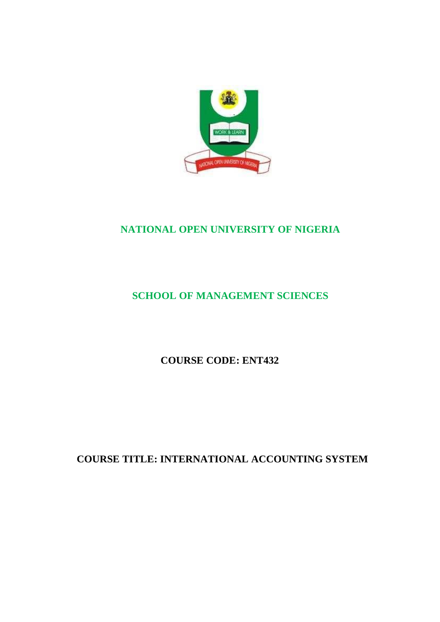

## **NATIONAL OPEN UNIVERSITY OF NIGERIA**

## **SCHOOL OF MANAGEMENT SCIENCES**

**COURSE CODE: ENT432**

**COURSE TITLE: INTERNATIONAL ACCOUNTING SYSTEM**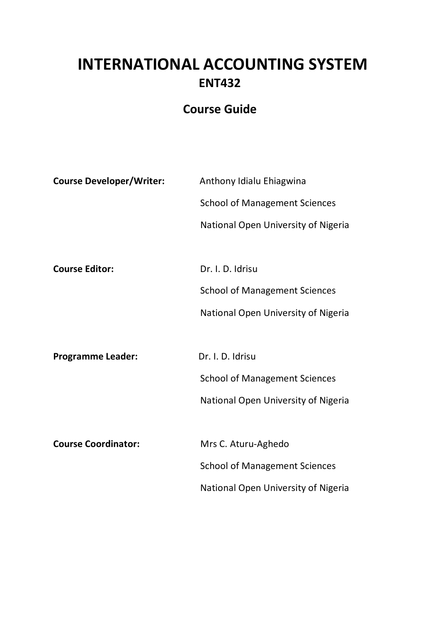# **INTERNATIONAL ACCOUNTING SYSTEM ENT432**

## **Course Guide**

| <b>Course Developer/Writer:</b> | Anthony Idialu Ehiagwina             |
|---------------------------------|--------------------------------------|
|                                 | <b>School of Management Sciences</b> |
|                                 | National Open University of Nigeria  |
|                                 |                                      |
| <b>Course Editor:</b>           | Dr. I. D. Idrisu                     |
|                                 | <b>School of Management Sciences</b> |
|                                 | National Open University of Nigeria  |
|                                 |                                      |
| <b>Programme Leader:</b>        | Dr. I. D. Idrisu                     |
|                                 | <b>School of Management Sciences</b> |
|                                 | National Open University of Nigeria  |
|                                 |                                      |
| <b>Course Coordinator:</b>      | Mrs C. Aturu-Aghedo                  |
|                                 | <b>School of Management Sciences</b> |
|                                 | National Open University of Nigeria  |
|                                 |                                      |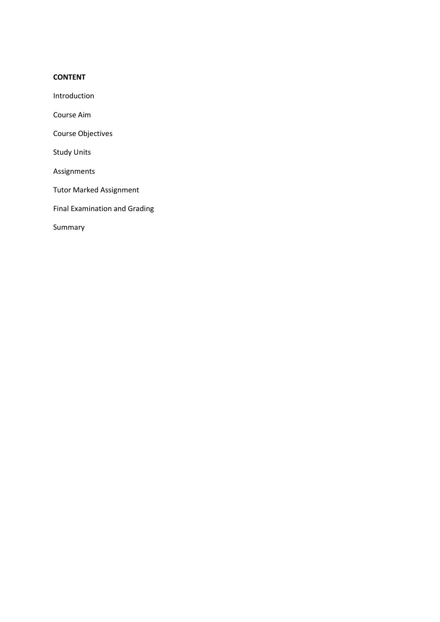#### **CONTENT**

Introduction

Course Aim

Course Objectives

Study Units

Assignments

Tutor Marked Assignment

Final Examination and Grading

Summary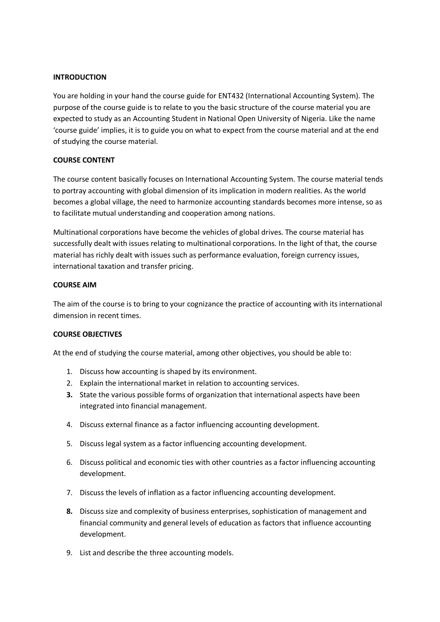#### **INTRODUCTION**

You are holding in your hand the course guide for ENT432 (International Accounting System). The purpose of the course guide is to relate to you the basic structure of the course material you are expected to study as an Accounting Student in National Open University of Nigeria. Like the name 'course guide' implies, it is to guide you on what to expect from the course material and at the end of studying the course material.

#### **COURSE CONTENT**

The course content basically focuses on International Accounting System. The course material tends to portray accounting with global dimension of its implication in modern realities. As the world becomes a global village, the need to harmonize accounting standards becomes more intense, so as to facilitate mutual understanding and cooperation among nations.

Multinational corporations have become the vehicles of global drives. The course material has successfully dealt with issues relating to multinational corporations. In the light of that, the course material has richly dealt with issues such as performance evaluation, foreign currency issues, international taxation and transfer pricing.

#### **COURSE AIM**

The aim of the course is to bring to your cognizance the practice of accounting with its international dimension in recent times.

#### **COURSE OBJECTIVES**

At the end of studying the course material, among other objectives, you should be able to:

- 1. Discuss how accounting is shaped by its environment.
- 2. Explain the international market in relation to accounting services.
- **3.** State the various possible forms of organization that international aspects have been integrated into financial management.
- 4. Discuss external finance as a factor influencing accounting development.
- 5. Discuss legal system as a factor influencing accounting development.
- 6. Discuss political and economic ties with other countries as a factor influencing accounting development.
- 7. Discuss the levels of inflation as a factor influencing accounting development.
- **8.** Discuss size and complexity of business enterprises, sophistication of management and financial community and general levels of education as factors that influence accounting development.
- 9. List and describe the three accounting models.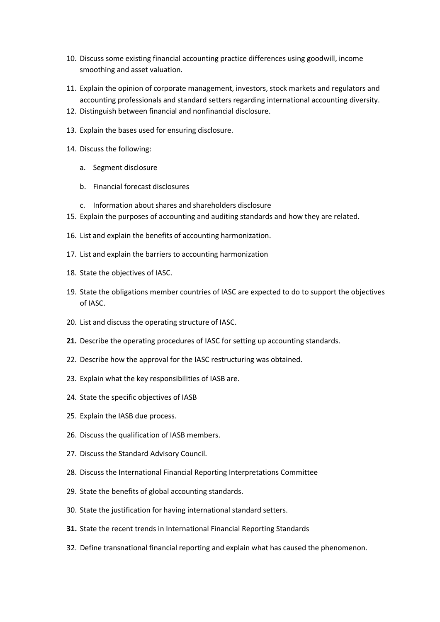- 10. Discuss some existing financial accounting practice differences using goodwill, income smoothing and asset valuation.
- 11. Explain the opinion of corporate management, investors, stock markets and regulators and accounting professionals and standard setters regarding international accounting diversity.
- 12. Distinguish between financial and nonfinancial disclosure.
- 13. Explain the bases used for ensuring disclosure.
- 14. Discuss the following:
	- a. Segment disclosure
	- b. Financial forecast disclosures
	- c. Information about shares and shareholders disclosure
- 15. Explain the purposes of accounting and auditing standards and how they are related.
- 16. List and explain the benefits of accounting harmonization.
- 17. List and explain the barriers to accounting harmonization
- 18. State the objectives of IASC.
- 19. State the obligations member countries of IASC are expected to do to support the objectives of IASC.
- 20. List and discuss the operating structure of IASC.
- **21.** Describe the operating procedures of IASC for setting up accounting standards.
- 22. Describe how the approval for the IASC restructuring was obtained.
- 23. Explain what the key responsibilities of IASB are.
- 24. State the specific objectives of IASB
- 25. Explain the IASB due process.
- 26. Discuss the qualification of IASB members.
- 27. Discuss the Standard Advisory Council.
- 28. Discuss the International Financial Reporting Interpretations Committee
- 29. State the benefits of global accounting standards.
- 30. State the justification for having international standard setters.
- **31.** State the recent trends in International Financial Reporting Standards
- 32. Define transnational financial reporting and explain what has caused the phenomenon.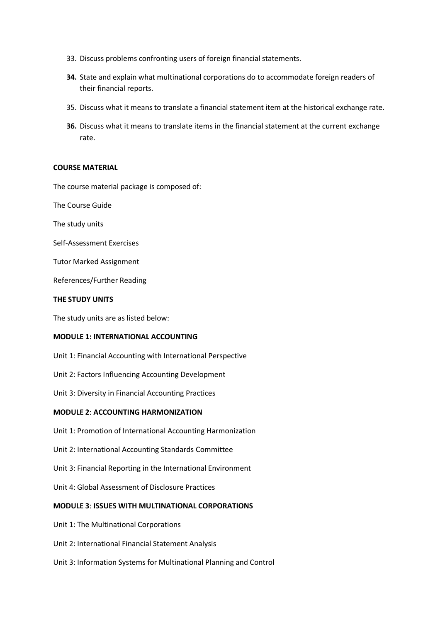- 33. Discuss problems confronting users of foreign financial statements.
- **34.** State and explain what multinational corporations do to accommodate foreign readers of their financial reports.
- 35. Discuss what it means to translate a financial statement item at the historical exchange rate.
- **36.** Discuss what it means to translate items in the financial statement at the current exchange rate.

#### **COURSE MATERIAL**

The course material package is composed of:

The Course Guide

The study units

Self-Assessment Exercises

Tutor Marked Assignment

References/Further Reading

#### **THE STUDY UNITS**

The study units are as listed below:

#### **MODULE 1: INTERNATIONAL ACCOUNTING**

Unit 1: Financial Accounting with International Perspective

Unit 2: Factors Influencing Accounting Development

Unit 3: Diversity in Financial Accounting Practices

#### **MODULE 2**: **ACCOUNTING HARMONIZATION**

Unit 1: Promotion of International Accounting Harmonization

Unit 2: International Accounting Standards Committee

Unit 3: Financial Reporting in the International Environment

Unit 4: Global Assessment of Disclosure Practices

#### **MODULE 3**: **ISSUES WITH MULTINATIONAL CORPORATIONS**

Unit 1: The Multinational Corporations

Unit 2: International Financial Statement Analysis

Unit 3: Information Systems for Multinational Planning and Control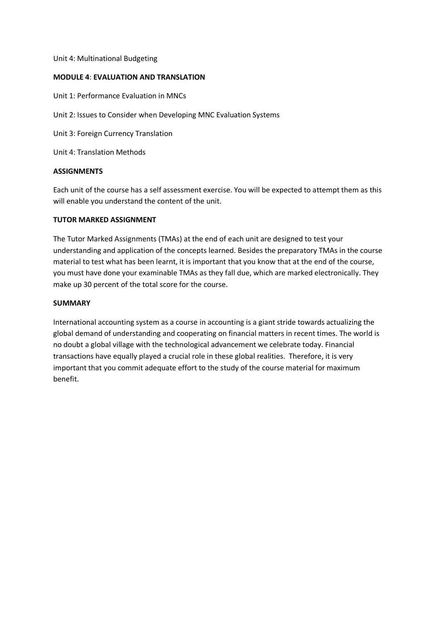#### Unit 4: Multinational Budgeting

#### **MODULE 4**: **EVALUATION AND TRANSLATION**

Unit 1: Performance Evaluation in MNCs

Unit 2: Issues to Consider when Developing MNC Evaluation Systems

Unit 3: Foreign Currency Translation

Unit 4: Translation Methods

#### **ASSIGNMENTS**

Each unit of the course has a self assessment exercise. You will be expected to attempt them as this will enable you understand the content of the unit.

#### **TUTOR MARKED ASSIGNMENT**

The Tutor Marked Assignments (TMAs) at the end of each unit are designed to test your understanding and application of the concepts learned. Besides the preparatory TMAs in the course material to test what has been learnt, it is important that you know that at the end of the course, you must have done your examinable TMAs as they fall due, which are marked electronically. They make up 30 percent of the total score for the course.

#### **SUMMARY**

International accounting system as a course in accounting is a giant stride towards actualizing the global demand of understanding and cooperating on financial matters in recent times. The world is no doubt a global village with the technological advancement we celebrate today. Financial transactions have equally played a crucial role in these global realities. Therefore, it is very important that you commit adequate effort to the study of the course material for maximum benefit.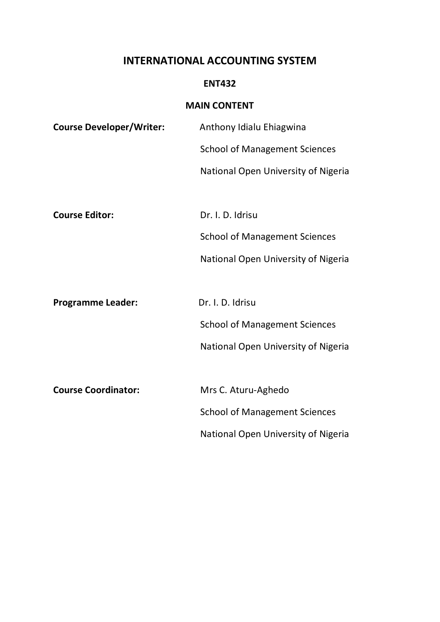### **INTERNATIONAL ACCOUNTING SYSTEM**

### **ENT432**

### **MAIN CONTENT**

| <b>Course Developer/Writer:</b> | Anthony Idialu Ehiagwina             |
|---------------------------------|--------------------------------------|
|                                 | <b>School of Management Sciences</b> |
|                                 | National Open University of Nigeria  |
|                                 |                                      |
| <b>Course Editor:</b>           | Dr. I. D. Idrisu                     |
|                                 | <b>School of Management Sciences</b> |
|                                 | National Open University of Nigeria  |
|                                 |                                      |
| <b>Programme Leader:</b>        | Dr. I. D. Idrisu                     |
|                                 | <b>School of Management Sciences</b> |
|                                 | National Open University of Nigeria  |
|                                 |                                      |
| <b>Course Coordinator:</b>      | Mrs C. Aturu-Aghedo                  |
|                                 | <b>School of Management Sciences</b> |
|                                 | National Open University of Nigeria  |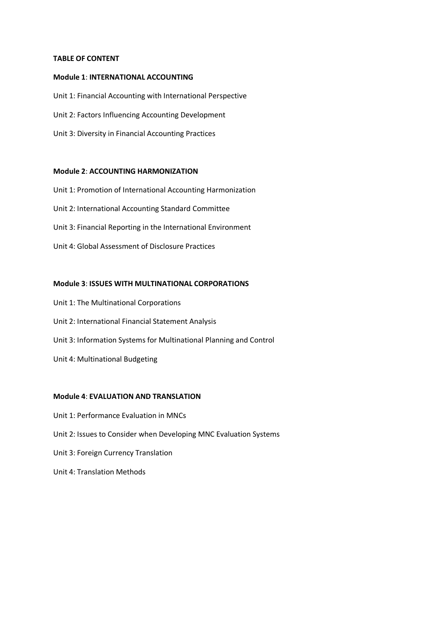#### **TABLE OF CONTENT**

#### **Module 1**: **INTERNATIONAL ACCOUNTING**

Unit 1: Financial Accounting with International Perspective Unit 2: Factors Influencing Accounting Development Unit 3: Diversity in Financial Accounting Practices

#### **Module 2**: **ACCOUNTING HARMONIZATION**

Unit 1: Promotion of International Accounting Harmonization Unit 2: International Accounting Standard Committee Unit 3: Financial Reporting in the International Environment Unit 4: Global Assessment of Disclosure Practices

#### **Module 3**: **ISSUES WITH MULTINATIONAL CORPORATIONS**

Unit 1: The Multinational Corporations Unit 2: International Financial Statement Analysis Unit 3: Information Systems for Multinational Planning and Control Unit 4: Multinational Budgeting

#### **Module 4**: **EVALUATION AND TRANSLATION**

Unit 1: Performance Evaluation in MNCs Unit 2: Issues to Consider when Developing MNC Evaluation Systems Unit 3: Foreign Currency Translation Unit 4: Translation Methods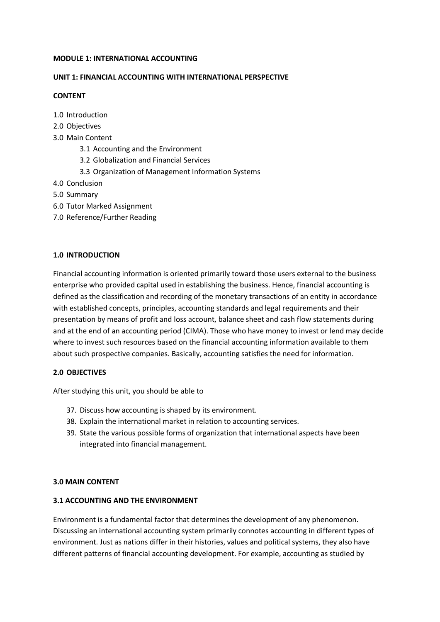#### **MODULE 1: INTERNATIONAL ACCOUNTING**

#### **UNIT 1: FINANCIAL ACCOUNTING WITH INTERNATIONAL PERSPECTIVE**

#### **CONTENT**

- 1.0 Introduction
- 2.0 Objectives
- 3.0 Main Content
	- 3.1 Accounting and the Environment
	- 3.2 Globalization and Financial Services
	- 3.3 Organization of Management Information Systems
- 4.0 Conclusion
- 5.0 Summary
- 6.0 Tutor Marked Assignment
- 7.0 Reference/Further Reading

#### **1.0 INTRODUCTION**

Financial accounting information is oriented primarily toward those users external to the business enterprise who provided capital used in establishing the business. Hence, financial accounting is defined as the classification and recording of the monetary transactions of an entity in accordance with established concepts, principles, accounting standards and legal requirements and their presentation by means of profit and loss account, balance sheet and cash flow statements during and at the end of an accounting period (CIMA). Those who have money to invest or lend may decide where to invest such resources based on the financial accounting information available to them about such prospective companies. Basically, accounting satisfies the need for information.

#### **2.0 OBJECTIVES**

After studying this unit, you should be able to

- 37. Discuss how accounting is shaped by its environment.
- 38. Explain the international market in relation to accounting services.
- 39. State the various possible forms of organization that international aspects have been integrated into financial management.

#### **3.0 MAIN CONTENT**

#### **3.1 ACCOUNTING AND THE ENVIRONMENT**

Environment is a fundamental factor that determines the development of any phenomenon. Discussing an international accounting system primarily connotes accounting in different types of environment. Just as nations differ in their histories, values and political systems, they also have different patterns of financial accounting development. For example, accounting as studied by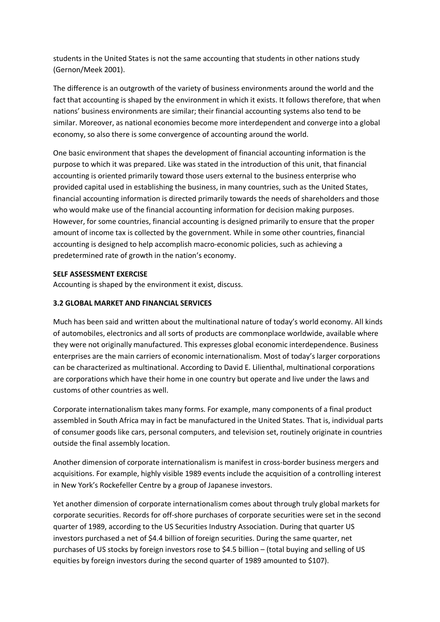students in the United States is not the same accounting that students in other nations study (Gernon/Meek 2001).

The difference is an outgrowth of the variety of business environments around the world and the fact that accounting is shaped by the environment in which it exists. It follows therefore, that when nations' business environments are similar; their financial accounting systems also tend to be similar. Moreover, as national economies become more interdependent and converge into a global economy, so also there is some convergence of accounting around the world.

One basic environment that shapes the development of financial accounting information is the purpose to which it was prepared. Like was stated in the introduction of this unit, that financial accounting is oriented primarily toward those users external to the business enterprise who provided capital used in establishing the business, in many countries, such as the United States, financial accounting information is directed primarily towards the needs of shareholders and those who would make use of the financial accounting information for decision making purposes. However, for some countries, financial accounting is designed primarily to ensure that the proper amount of income tax is collected by the government. While in some other countries, financial accounting is designed to help accomplish macro-economic policies, such as achieving a predetermined rate of growth in the nation's economy.

#### **SELF ASSESSMENT EXERCISE**

Accounting is shaped by the environment it exist, discuss.

#### **3.2 GLOBAL MARKET AND FINANCIAL SERVICES**

Much has been said and written about the multinational nature of today's world economy. All kinds of automobiles, electronics and all sorts of products are commonplace worldwide, available where they were not originally manufactured. This expresses global economic interdependence. Business enterprises are the main carriers of economic internationalism. Most of today's larger corporations can be characterized as multinational. According to David E. Lilienthal, multinational corporations are corporations which have their home in one country but operate and live under the laws and customs of other countries as well.

Corporate internationalism takes many forms. For example, many components of a final product assembled in South Africa may in fact be manufactured in the United States. That is, individual parts of consumer goods like cars, personal computers, and television set, routinely originate in countries outside the final assembly location.

Another dimension of corporate internationalism is manifest in cross-border business mergers and acquisitions. For example, highly visible 1989 events include the acquisition of a controlling interest in New York's Rockefeller Centre by a group of Japanese investors.

Yet another dimension of corporate internationalism comes about through truly global markets for corporate securities. Records for off-shore purchases of corporate securities were set in the second quarter of 1989, according to the US Securities Industry Association. During that quarter US investors purchased a net of \$4.4 billion of foreign securities. During the same quarter, net purchases of US stocks by foreign investors rose to \$4.5 billion – (total buying and selling of US equities by foreign investors during the second quarter of 1989 amounted to \$107).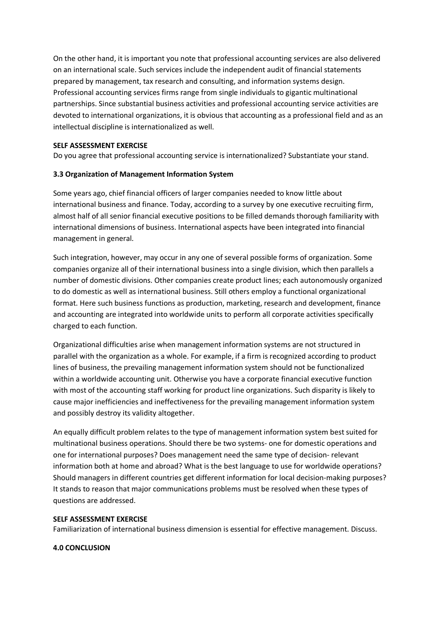On the other hand, it is important you note that professional accounting services are also delivered on an international scale. Such services include the independent audit of financial statements prepared by management, tax research and consulting, and information systems design. Professional accounting services firms range from single individuals to gigantic multinational partnerships. Since substantial business activities and professional accounting service activities are devoted to international organizations, it is obvious that accounting as a professional field and as an intellectual discipline is internationalized as well.

#### **SELF ASSESSMENT EXERCISE**

Do you agree that professional accounting service is internationalized? Substantiate your stand.

#### **3.3 Organization of Management Information System**

Some years ago, chief financial officers of larger companies needed to know little about international business and finance. Today, according to a survey by one executive recruiting firm, almost half of all senior financial executive positions to be filled demands thorough familiarity with international dimensions of business. International aspects have been integrated into financial management in general.

Such integration, however, may occur in any one of several possible forms of organization. Some companies organize all of their international business into a single division, which then parallels a number of domestic divisions. Other companies create product lines; each autonomously organized to do domestic as well as international business. Still others employ a functional organizational format. Here such business functions as production, marketing, research and development, finance and accounting are integrated into worldwide units to perform all corporate activities specifically charged to each function.

Organizational difficulties arise when management information systems are not structured in parallel with the organization as a whole. For example, if a firm is recognized according to product lines of business, the prevailing management information system should not be functionalized within a worldwide accounting unit. Otherwise you have a corporate financial executive function with most of the accounting staff working for product line organizations. Such disparity is likely to cause major inefficiencies and ineffectiveness for the prevailing management information system and possibly destroy its validity altogether.

An equally difficult problem relates to the type of management information system best suited for multinational business operations. Should there be two systems- one for domestic operations and one for international purposes? Does management need the same type of decision- relevant information both at home and abroad? What is the best language to use for worldwide operations? Should managers in different countries get different information for local decision-making purposes? It stands to reason that major communications problems must be resolved when these types of questions are addressed.

#### **SELF ASSESSMENT EXERCISE**

Familiarization of international business dimension is essential for effective management. Discuss.

#### **4.0 CONCLUSION**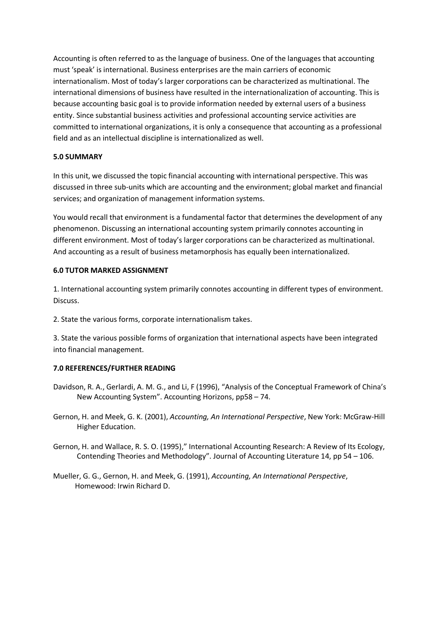Accounting is often referred to as the language of business. One of the languages that accounting must 'speak' is international. Business enterprises are the main carriers of economic internationalism. Most of today's larger corporations can be characterized as multinational. The international dimensions of business have resulted in the internationalization of accounting. This is because accounting basic goal is to provide information needed by external users of a business entity. Since substantial business activities and professional accounting service activities are committed to international organizations, it is only a consequence that accounting as a professional field and as an intellectual discipline is internationalized as well.

#### **5.0 SUMMARY**

In this unit, we discussed the topic financial accounting with international perspective. This was discussed in three sub-units which are accounting and the environment; global market and financial services; and organization of management information systems.

You would recall that environment is a fundamental factor that determines the development of any phenomenon. Discussing an international accounting system primarily connotes accounting in different environment. Most of today's larger corporations can be characterized as multinational. And accounting as a result of business metamorphosis has equally been internationalized.

#### **6.0 TUTOR MARKED ASSIGNMENT**

1. International accounting system primarily connotes accounting in different types of environment. Discuss.

2. State the various forms, corporate internationalism takes.

3. State the various possible forms of organization that international aspects have been integrated into financial management.

#### **7.0 REFERENCES/FURTHER READING**

- Davidson, R. A., Gerlardi, A. M. G., and Li, F (1996), "Analysis of the Conceptual Framework of China's New Accounting System". Accounting Horizons, pp58 – 74.
- Gernon, H. and Meek, G. K. (2001), *Accounting, An International Perspective*, New York: McGraw-Hill Higher Education.
- Gernon, H. and Wallace, R. S. O. (1995)," International Accounting Research: A Review of Its Ecology, Contending Theories and Methodology". Journal of Accounting Literature 14, pp 54 – 106.
- Mueller, G. G., Gernon, H. and Meek, G. (1991), *Accounting, An International Perspective*, Homewood: Irwin Richard D.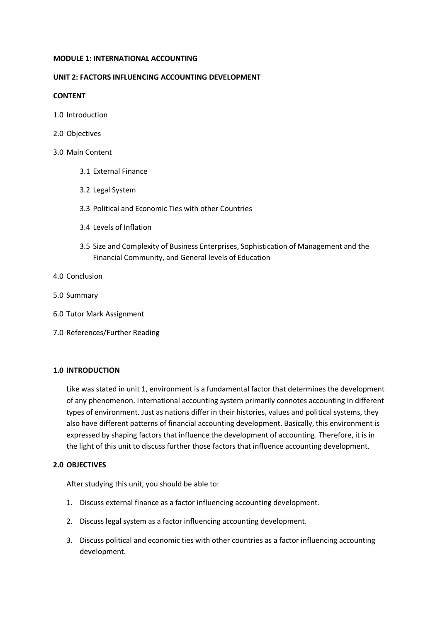#### **MODULE 1: INTERNATIONAL ACCOUNTING**

#### **UNIT 2: FACTORS INFLUENCING ACCOUNTING DEVELOPMENT**

#### **CONTENT**

- 1.0 Introduction
- 2.0 Objectives

#### 3.0 Main Content

- 3.1 External Finance
- 3.2 Legal System
- 3.3 Political and Economic Ties with other Countries
- 3.4 Levels of Inflation
- 3.5 Size and Complexity of Business Enterprises, Sophistication of Management and the Financial Community, and General levels of Education
- 4.0 Conclusion
- 5.0 Summary
- 6.0 Tutor Mark Assignment
- 7.0 References/Further Reading

#### **1.0 INTRODUCTION**

Like was stated in unit 1, environment is a fundamental factor that determines the development of any phenomenon. International accounting system primarily connotes accounting in different types of environment. Just as nations differ in their histories, values and political systems, they also have different patterns of financial accounting development. Basically, this environment is expressed by shaping factors that influence the development of accounting. Therefore, it is in the light of this unit to discuss further those factors that influence accounting development.

#### **2.0 OBJECTIVES**

After studying this unit, you should be able to:

- 1. Discuss external finance as a factor influencing accounting development.
- 2. Discuss legal system as a factor influencing accounting development.
- 3. Discuss political and economic ties with other countries as a factor influencing accounting development.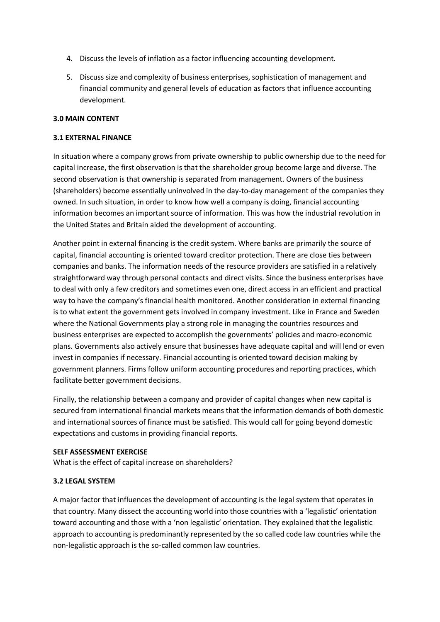- 4. Discuss the levels of inflation as a factor influencing accounting development.
- 5. Discuss size and complexity of business enterprises, sophistication of management and financial community and general levels of education as factors that influence accounting development.

#### **3.0 MAIN CONTENT**

#### **3.1 EXTERNAL FINANCE**

In situation where a company grows from private ownership to public ownership due to the need for capital increase, the first observation is that the shareholder group become large and diverse. The second observation is that ownership is separated from management. Owners of the business (shareholders) become essentially uninvolved in the day-to-day management of the companies they owned. In such situation, in order to know how well a company is doing, financial accounting information becomes an important source of information. This was how the industrial revolution in the United States and Britain aided the development of accounting.

Another point in external financing is the credit system. Where banks are primarily the source of capital, financial accounting is oriented toward creditor protection. There are close ties between companies and banks. The information needs of the resource providers are satisfied in a relatively straightforward way through personal contacts and direct visits. Since the business enterprises have to deal with only a few creditors and sometimes even one, direct access in an efficient and practical way to have the company's financial health monitored. Another consideration in external financing is to what extent the government gets involved in company investment. Like in France and Sweden where the National Governments play a strong role in managing the countries resources and business enterprises are expected to accomplish the governments' policies and macro-economic plans. Governments also actively ensure that businesses have adequate capital and will lend or even invest in companies if necessary. Financial accounting is oriented toward decision making by government planners. Firms follow uniform accounting procedures and reporting practices, which facilitate better government decisions.

Finally, the relationship between a company and provider of capital changes when new capital is secured from international financial markets means that the information demands of both domestic and international sources of finance must be satisfied. This would call for going beyond domestic expectations and customs in providing financial reports.

#### **SELF ASSESSMENT EXERCISE**

What is the effect of capital increase on shareholders?

#### **3.2 LEGAL SYSTEM**

A major factor that influences the development of accounting is the legal system that operates in that country. Many dissect the accounting world into those countries with a 'legalistic' orientation toward accounting and those with a 'non legalistic' orientation. They explained that the legalistic approach to accounting is predominantly represented by the so called code law countries while the non-legalistic approach is the so-called common law countries.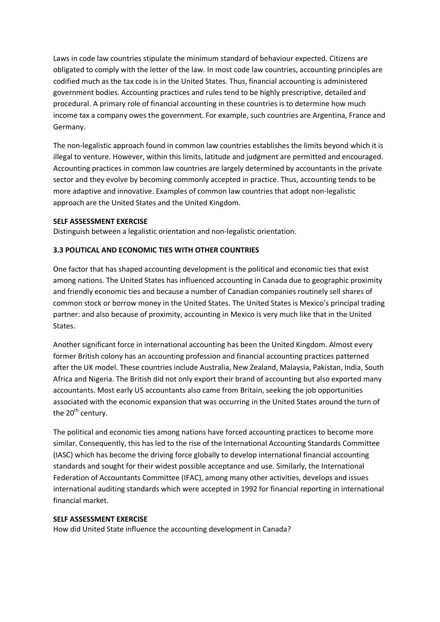Laws in code law countries stipulate the minimum standard of behaviour expected. Citizens are obligated to comply with the letter of the law. In most code law countries, accounting principles are codified much as the tax code is in the United States. Thus, financial accounting is administered government bodies. Accounting practices and rules tend to be highly prescriptive, detailed and procedural. A primary role of financial accounting in these countries is to determine how much income tax a company owes the government. For example, such countries are Argentina, France and Germany.

The non-legalistic approach found in common law countries establishes the limits beyond which it is illegal to venture. However, within this limits, latitude and judgment are permitted and encouraged. Accounting practices in common law countries are largely determined by accountants in the private sector and they evolve by becoming commonly accepted in practice. Thus, accounting tends to be more adaptive and innovative. Examples of common law countries that adopt non-legalistic approach are the United States and the United Kingdom.

#### **SELF ASSESSMENT EXERCISE**

Distinguish between a legalistic orientation and non-legalistic orientation.

#### **3.3 POLITICAL AND ECONOMIC TIES WITH OTHER COUNTRIES**

One factor that has shaped accounting development is the political and economic ties that exist among nations. The United States has influenced accounting in Canada due to geographic proximity and friendly economic ties and because a number of Canadian companies routinely sell shares of common stock or borrow money in the United States. The United States is Mexico's principal trading partner: and also because of proximity, accounting in Mexico is very much like that in the United States.

Another significant force in international accounting has been the United Kingdom. Almost every former British colony has an accounting profession and financial accounting practices patterned after the UK model. These countries include Australia, New Zealand, Malaysia, Pakistan, India, South Africa and Nigeria. The British did not only export their brand of accounting but also exported many accountants. Most early US accountants also came from Britain, seeking the job opportunities associated with the economic expansion that was occurring in the United States around the turn of the  $20<sup>th</sup>$  century.

The political and economic ties among nations have forced accounting practices to become more similar. Consequently, this has led to the rise of the International Accounting Standards Committee (IASC) which has become the driving force globally to develop international financial accounting standards and sought for their widest possible acceptance and use. Similarly, the International Federation of Accountants Committee (IFAC), among many other activities, develops and issues international auditing standards which were accepted in 1992 for financial reporting in international financial market.

#### **SELF ASSESSMENT EXERCISE**

How did United State influence the accounting development in Canada?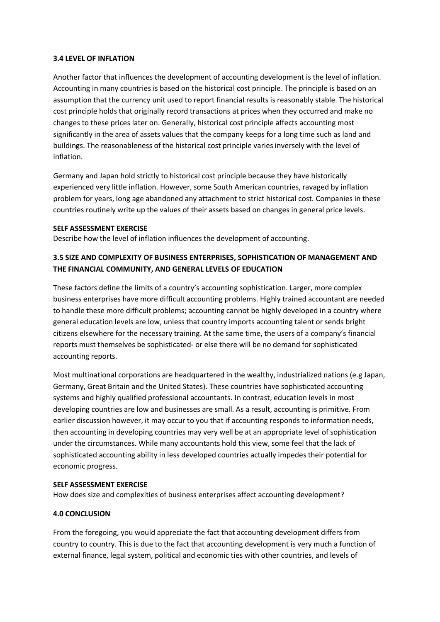#### **3.4 LEVEL OF INFLATION**

Another factor that influences the development of accounting development is the level of inflation. Accounting in many countries is based on the historical cost principle. The principle is based on an assumption that the currency unit used to report financial results is reasonably stable. The historical cost principle holds that originally record transactions at prices when they occurred and make no changes to these prices later on. Generally, historical cost principle affects accounting most significantly in the area of assets values that the company keeps for a long time such as land and buildings. The reasonableness of the historical cost principle varies inversely with the level of inflation.

Germany and Japan hold strictly to historical cost principle because they have historically experienced very little inflation. However, some South American countries, ravaged by inflation problem for years, long age abandoned any attachment to strict historical cost. Companies in these countries routinely write up the values of their assets based on changes in general price levels.

#### **SELF ASSESSMENT EXERCISE**

Describe how the level of inflation influences the development of accounting.

#### **3.5 SIZE AND COMPLEXITY OF BUSINESS ENTERPRISES, SOPHISTICATION OF MANAGEMENT AND THE FINANCIAL COMMUNITY, AND GENERAL LEVELS OF EDUCATION**

These factors define the limits of a country's accounting sophistication. Larger, more complex business enterprises have more difficult accounting problems. Highly trained accountant are needed to handle these more difficult problems; accounting cannot be highly developed in a country where general education levels are low, unless that country imports accounting talent or sends bright citizens elsewhere for the necessary training. At the same time, the users of a company's financial reports must themselves be sophisticated- or else there will be no demand for sophisticated accounting reports.

Most multinational corporations are headquartered in the wealthy, industrialized nations (e.g Japan, Germany, Great Britain and the United States). These countries have sophisticated accounting systems and highly qualified professional accountants. In contrast, education levels in most developing countries are low and businesses are small. As a result, accounting is primitive. From earlier discussion however, it may occur to you that if accounting responds to information needs, then accounting in developing countries may very well be at an appropriate level of sophistication under the circumstances. While many accountants hold this view, some feel that the lack of sophisticated accounting ability in less developed countries actually impedes their potential for economic progress.

#### **SELF ASSESSMENT EXERCISE**

How does size and complexities of business enterprises affect accounting development?

#### **4.0 CONCLUSION**

From the foregoing, you would appreciate the fact that accounting development differs from country to country. This is due to the fact that accounting development is very much a function of external finance, legal system, political and economic ties with other countries, and levels of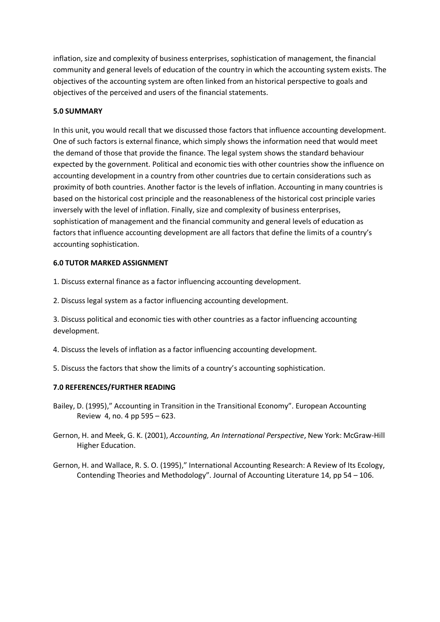inflation, size and complexity of business enterprises, sophistication of management, the financial community and general levels of education of the country in which the accounting system exists. The objectives of the accounting system are often linked from an historical perspective to goals and objectives of the perceived and users of the financial statements.

#### **5.0 SUMMARY**

In this unit, you would recall that we discussed those factors that influence accounting development. One of such factors is external finance, which simply shows the information need that would meet the demand of those that provide the finance. The legal system shows the standard behaviour expected by the government. Political and economic ties with other countries show the influence on accounting development in a country from other countries due to certain considerations such as proximity of both countries. Another factor is the levels of inflation. Accounting in many countries is based on the historical cost principle and the reasonableness of the historical cost principle varies inversely with the level of inflation. Finally, size and complexity of business enterprises, sophistication of management and the financial community and general levels of education as factors that influence accounting development are all factors that define the limits of a country's accounting sophistication.

#### **6.0 TUTOR MARKED ASSIGNMENT**

1. Discuss external finance as a factor influencing accounting development.

2. Discuss legal system as a factor influencing accounting development.

3. Discuss political and economic ties with other countries as a factor influencing accounting development.

- 4. Discuss the levels of inflation as a factor influencing accounting development.
- 5. Discuss the factors that show the limits of a country's accounting sophistication.

#### **7.0 REFERENCES/FURTHER READING**

- Bailey, D. (1995)," Accounting in Transition in the Transitional Economy". European Accounting Review 4, no. 4 pp 595 – 623.
- Gernon, H. and Meek, G. K. (2001), *Accounting, An International Perspective*, New York: McGraw-Hill Higher Education.
- Gernon, H. and Wallace, R. S. O. (1995)," International Accounting Research: A Review of Its Ecology, Contending Theories and Methodology". Journal of Accounting Literature 14, pp 54 – 106.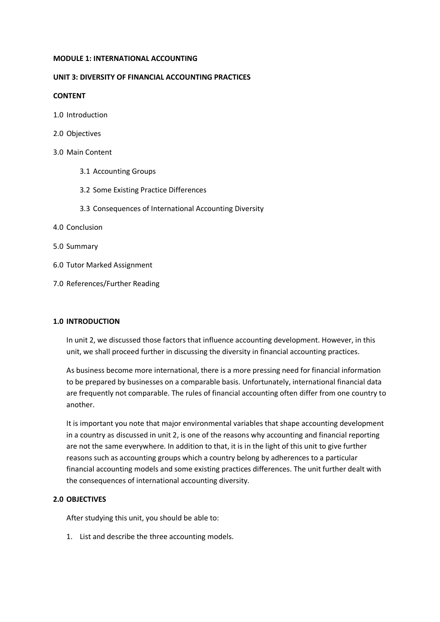#### **MODULE 1: INTERNATIONAL ACCOUNTING**

#### **UNIT 3: DIVERSITY OF FINANCIAL ACCOUNTING PRACTICES**

#### **CONTENT**

- 1.0 Introduction
- 2.0 Objectives

#### 3.0 Main Content

- 3.1 Accounting Groups
- 3.2 Some Existing Practice Differences
- 3.3 Consequences of International Accounting Diversity
- 4.0 Conclusion
- 5.0 Summary
- 6.0 Tutor Marked Assignment
- 7.0 References/Further Reading

#### **1.0 INTRODUCTION**

In unit 2, we discussed those factors that influence accounting development. However, in this unit, we shall proceed further in discussing the diversity in financial accounting practices.

As business become more international, there is a more pressing need for financial information to be prepared by businesses on a comparable basis. Unfortunately, international financial data are frequently not comparable. The rules of financial accounting often differ from one country to another.

It is important you note that major environmental variables that shape accounting development in a country as discussed in unit 2, is one of the reasons why accounting and financial reporting are not the same everywhere. In addition to that, it is in the light of this unit to give further reasons such as accounting groups which a country belong by adherences to a particular financial accounting models and some existing practices differences. The unit further dealt with the consequences of international accounting diversity.

#### **2.0 OBJECTIVES**

After studying this unit, you should be able to:

1. List and describe the three accounting models.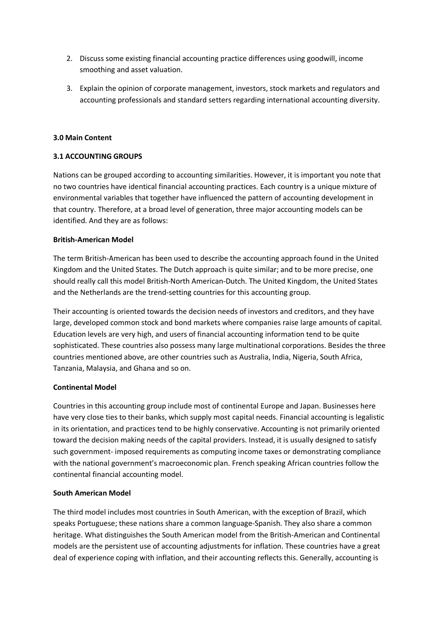- 2. Discuss some existing financial accounting practice differences using goodwill, income smoothing and asset valuation.
- 3. Explain the opinion of corporate management, investors, stock markets and regulators and accounting professionals and standard setters regarding international accounting diversity.

#### **3.0 Main Content**

#### **3.1 ACCOUNTING GROUPS**

Nations can be grouped according to accounting similarities. However, it is important you note that no two countries have identical financial accounting practices. Each country is a unique mixture of environmental variables that together have influenced the pattern of accounting development in that country. Therefore, at a broad level of generation, three major accounting models can be identified. And they are as follows:

#### **British-American Model**

The term British-American has been used to describe the accounting approach found in the United Kingdom and the United States. The Dutch approach is quite similar; and to be more precise, one should really call this model British-North American-Dutch. The United Kingdom, the United States and the Netherlands are the trend-setting countries for this accounting group.

Their accounting is oriented towards the decision needs of investors and creditors, and they have large, developed common stock and bond markets where companies raise large amounts of capital. Education levels are very high, and users of financial accounting information tend to be quite sophisticated. These countries also possess many large multinational corporations. Besides the three countries mentioned above, are other countries such as Australia, India, Nigeria, South Africa, Tanzania, Malaysia, and Ghana and so on.

#### **Continental Model**

Countries in this accounting group include most of continental Europe and Japan. Businesses here have very close ties to their banks, which supply most capital needs. Financial accounting is legalistic in its orientation, and practices tend to be highly conservative. Accounting is not primarily oriented toward the decision making needs of the capital providers. Instead, it is usually designed to satisfy such government- imposed requirements as computing income taxes or demonstrating compliance with the national government's macroeconomic plan. French speaking African countries follow the continental financial accounting model.

#### **South American Model**

The third model includes most countries in South American, with the exception of Brazil, which speaks Portuguese; these nations share a common language-Spanish. They also share a common heritage. What distinguishes the South American model from the British-American and Continental models are the persistent use of accounting adjustments for inflation. These countries have a great deal of experience coping with inflation, and their accounting reflects this. Generally, accounting is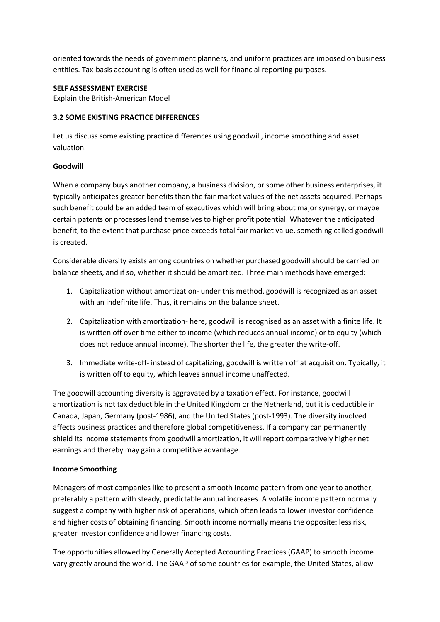oriented towards the needs of government planners, and uniform practices are imposed on business entities. Tax-basis accounting is often used as well for financial reporting purposes.

#### **SELF ASSESSMENT EXERCISE**

Explain the British-American Model

#### **3.2 SOME EXISTING PRACTICE DIFFERENCES**

Let us discuss some existing practice differences using goodwill, income smoothing and asset valuation.

#### **Goodwill**

When a company buys another company, a business division, or some other business enterprises, it typically anticipates greater benefits than the fair market values of the net assets acquired. Perhaps such benefit could be an added team of executives which will bring about major synergy, or maybe certain patents or processes lend themselves to higher profit potential. Whatever the anticipated benefit, to the extent that purchase price exceeds total fair market value, something called goodwill is created.

Considerable diversity exists among countries on whether purchased goodwill should be carried on balance sheets, and if so, whether it should be amortized. Three main methods have emerged:

- 1. Capitalization without amortization- under this method, goodwill is recognized as an asset with an indefinite life. Thus, it remains on the balance sheet.
- 2. Capitalization with amortization- here, goodwill is recognised as an asset with a finite life. It is written off over time either to income (which reduces annual income) or to equity (which does not reduce annual income). The shorter the life, the greater the write-off.
- 3. Immediate write-off- instead of capitalizing, goodwill is written off at acquisition. Typically, it is written off to equity, which leaves annual income unaffected.

The goodwill accounting diversity is aggravated by a taxation effect. For instance, goodwill amortization is not tax deductible in the United Kingdom or the Netherland, but it is deductible in Canada, Japan, Germany (post-1986), and the United States (post-1993). The diversity involved affects business practices and therefore global competitiveness. If a company can permanently shield its income statements from goodwill amortization, it will report comparatively higher net earnings and thereby may gain a competitive advantage.

#### **Income Smoothing**

Managers of most companies like to present a smooth income pattern from one year to another, preferably a pattern with steady, predictable annual increases. A volatile income pattern normally suggest a company with higher risk of operations, which often leads to lower investor confidence and higher costs of obtaining financing. Smooth income normally means the opposite: less risk, greater investor confidence and lower financing costs.

The opportunities allowed by Generally Accepted Accounting Practices (GAAP) to smooth income vary greatly around the world. The GAAP of some countries for example, the United States, allow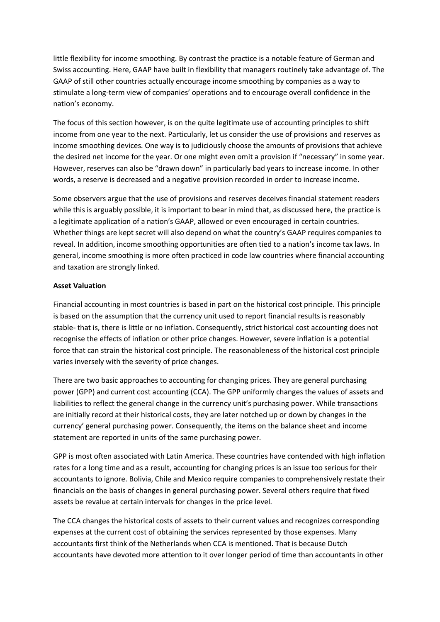little flexibility for income smoothing. By contrast the practice is a notable feature of German and Swiss accounting. Here, GAAP have built in flexibility that managers routinely take advantage of. The GAAP of still other countries actually encourage income smoothing by companies as a way to stimulate a long-term view of companies' operations and to encourage overall confidence in the nation's economy.

The focus of this section however, is on the quite legitimate use of accounting principles to shift income from one year to the next. Particularly, let us consider the use of provisions and reserves as income smoothing devices. One way is to judiciously choose the amounts of provisions that achieve the desired net income for the year. Or one might even omit a provision if "necessary" in some year. However, reserves can also be "drawn down" in particularly bad years to increase income. In other words, a reserve is decreased and a negative provision recorded in order to increase income.

Some observers argue that the use of provisions and reserves deceives financial statement readers while this is arguably possible, it is important to bear in mind that, as discussed here, the practice is a legitimate application of a nation's GAAP, allowed or even encouraged in certain countries. Whether things are kept secret will also depend on what the country's GAAP requires companies to reveal. In addition, income smoothing opportunities are often tied to a nation's income tax laws. In general, income smoothing is more often practiced in code law countries where financial accounting and taxation are strongly linked.

#### **Asset Valuation**

Financial accounting in most countries is based in part on the historical cost principle. This principle is based on the assumption that the currency unit used to report financial results is reasonably stable- that is, there is little or no inflation. Consequently, strict historical cost accounting does not recognise the effects of inflation or other price changes. However, severe inflation is a potential force that can strain the historical cost principle. The reasonableness of the historical cost principle varies inversely with the severity of price changes.

There are two basic approaches to accounting for changing prices. They are general purchasing power (GPP) and current cost accounting (CCA). The GPP uniformly changes the values of assets and liabilities to reflect the general change in the currency unit's purchasing power. While transactions are initially record at their historical costs, they are later notched up or down by changes in the currency' general purchasing power. Consequently, the items on the balance sheet and income statement are reported in units of the same purchasing power.

GPP is most often associated with Latin America. These countries have contended with high inflation rates for a long time and as a result, accounting for changing prices is an issue too serious for their accountants to ignore. Bolivia, Chile and Mexico require companies to comprehensively restate their financials on the basis of changes in general purchasing power. Several others require that fixed assets be revalue at certain intervals for changes in the price level.

The CCA changes the historical costs of assets to their current values and recognizes corresponding expenses at the current cost of obtaining the services represented by those expenses. Many accountants first think of the Netherlands when CCA is mentioned. That is because Dutch accountants have devoted more attention to it over longer period of time than accountants in other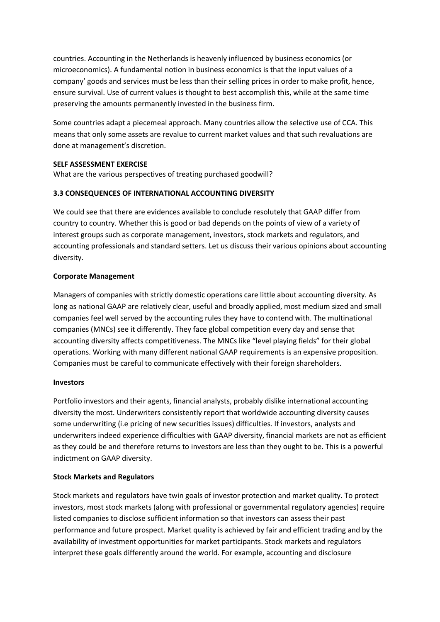countries. Accounting in the Netherlands is heavenly influenced by business economics (or microeconomics). A fundamental notion in business economics is that the input values of a company' goods and services must be less than their selling prices in order to make profit, hence, ensure survival. Use of current values is thought to best accomplish this, while at the same time preserving the amounts permanently invested in the business firm.

Some countries adapt a piecemeal approach. Many countries allow the selective use of CCA. This means that only some assets are revalue to current market values and that such revaluations are done at management's discretion.

#### **SELF ASSESSMENT EXERCISE**

What are the various perspectives of treating purchased goodwill?

#### **3.3 CONSEQUENCES OF INTERNATIONAL ACCOUNTING DIVERSITY**

We could see that there are evidences available to conclude resolutely that GAAP differ from country to country. Whether this is good or bad depends on the points of view of a variety of interest groups such as corporate management, investors, stock markets and regulators, and accounting professionals and standard setters. Let us discuss their various opinions about accounting diversity.

#### **Corporate Management**

Managers of companies with strictly domestic operations care little about accounting diversity. As long as national GAAP are relatively clear, useful and broadly applied, most medium sized and small companies feel well served by the accounting rules they have to contend with. The multinational companies (MNCs) see it differently. They face global competition every day and sense that accounting diversity affects competitiveness. The MNCs like "level playing fields" for their global operations. Working with many different national GAAP requirements is an expensive proposition. Companies must be careful to communicate effectively with their foreign shareholders.

#### **Investors**

Portfolio investors and their agents, financial analysts, probably dislike international accounting diversity the most. Underwriters consistently report that worldwide accounting diversity causes some underwriting (i.e pricing of new securities issues) difficulties. If investors, analysts and underwriters indeed experience difficulties with GAAP diversity, financial markets are not as efficient as they could be and therefore returns to investors are less than they ought to be. This is a powerful indictment on GAAP diversity.

#### **Stock Markets and Regulators**

Stock markets and regulators have twin goals of investor protection and market quality. To protect investors, most stock markets (along with professional or governmental regulatory agencies) require listed companies to disclose sufficient information so that investors can assess their past performance and future prospect. Market quality is achieved by fair and efficient trading and by the availability of investment opportunities for market participants. Stock markets and regulators interpret these goals differently around the world. For example, accounting and disclosure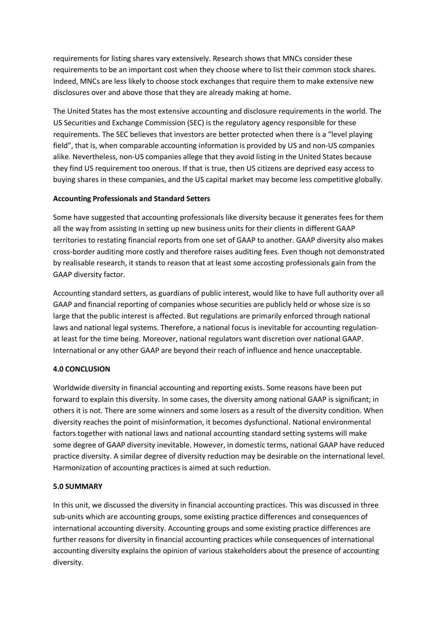requirements for listing shares vary extensively. Research shows that MNCs consider these requirements to be an important cost when they choose where to list their common stock shares. Indeed, MNCs are less likely to choose stock exchanges that require them to make extensive new disclosures over and above those that they are already making at home.

The United States has the most extensive accounting and disclosure requirements in the world. The US Securities and Exchange Commission (SEC) is the regulatory agency responsible for these requirements. The SEC believes that investors are better protected when there is a "level playing field", that is, when comparable accounting information is provided by US and non-US companies alike. Nevertheless, non-US companies allege that they avoid listing in the United States because they find US requirement too onerous. If that is true, then US citizens are deprived easy access to buying shares in these companies, and the US capital market may become less competitive globally.

#### **Accounting Professionals and Standard Setters**

Some have suggested that accounting professionals like diversity because it generates fees for them all the way from assisting in setting up new business units for their clients in different GAAP territories to restating financial reports from one set of GAAP to another. GAAP diversity also makes cross-border auditing more costly and therefore raises auditing fees. Even though not demonstrated by realisable research, it stands to reason that at least some accosting professionals gain from the GAAP diversity factor.

Accounting standard setters, as guardians of public interest, would like to have full authority over all GAAP and financial reporting of companies whose securities are publicly held or whose size is so large that the public interest is affected. But regulations are primarily enforced through national laws and national legal systems. Therefore, a national focus is inevitable for accounting regulationat least for the time being. Moreover, national regulators want discretion over national GAAP. International or any other GAAP are beyond their reach of influence and hence unacceptable.

#### **4.0 CONCLUSION**

Worldwide diversity in financial accounting and reporting exists. Some reasons have been put forward to explain this diversity. In some cases, the diversity among national GAAP is significant; in others it is not. There are some winners and some losers as a result of the diversity condition. When diversity reaches the point of misinformation, it becomes dysfunctional. National environmental factors together with national laws and national accounting standard setting systems will make some degree of GAAP diversity inevitable. However, in domestic terms, national GAAP have reduced practice diversity. A similar degree of diversity reduction may be desirable on the international level. Harmonization of accounting practices is aimed at such reduction.

#### **5.0 SUMMARY**

In this unit, we discussed the diversity in financial accounting practices. This was discussed in three sub-units which are accounting groups, some existing practice differences and consequences of international accounting diversity. Accounting groups and some existing practice differences are further reasons for diversity in financial accounting practices while consequences of international accounting diversity explains the opinion of various stakeholders about the presence of accounting diversity.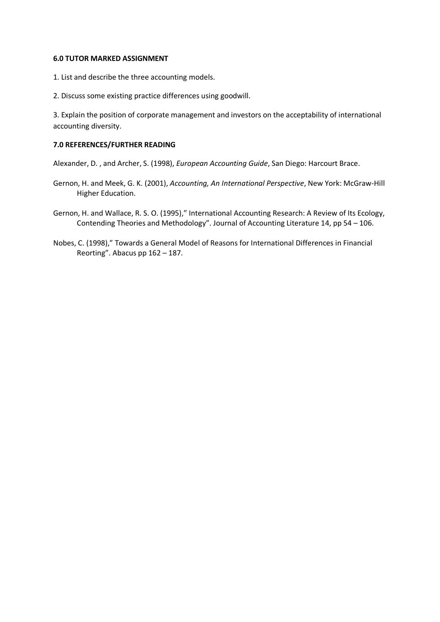#### **6.0 TUTOR MARKED ASSIGNMENT**

- 1. List and describe the three accounting models.
- 2. Discuss some existing practice differences using goodwill.

3. Explain the position of corporate management and investors on the acceptability of international accounting diversity.

#### **7.0 REFERENCES/FURTHER READING**

Alexander, D. , and Archer, S. (1998), *European Accounting Guide*, San Diego: Harcourt Brace.

- Gernon, H. and Meek, G. K. (2001), *Accounting, An International Perspective*, New York: McGraw-Hill Higher Education.
- Gernon, H. and Wallace, R. S. O. (1995)," International Accounting Research: A Review of Its Ecology, Contending Theories and Methodology". Journal of Accounting Literature 14, pp 54 – 106.
- Nobes, C. (1998)," Towards a General Model of Reasons for International Differences in Financial Reorting". Abacus pp 162 – 187.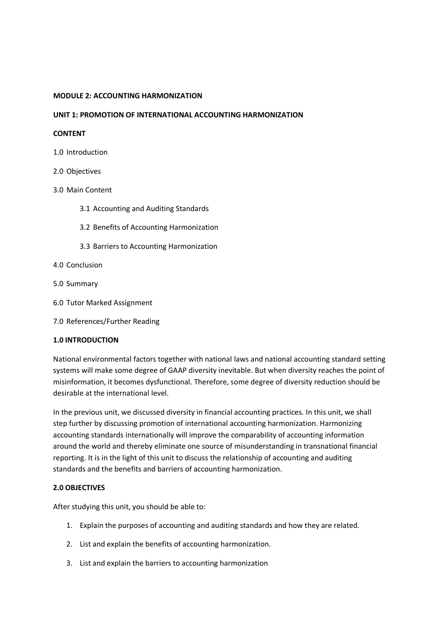#### **MODULE 2: ACCOUNTING HARMONIZATION**

#### **UNIT 1: PROMOTION OF INTERNATIONAL ACCOUNTING HARMONIZATION**

#### **CONTENT**

- 1.0 Introduction
- 2.0 Objectives
- 3.0 Main Content
	- 3.1 Accounting and Auditing Standards
	- 3.2 Benefits of Accounting Harmonization
	- 3.3 Barriers to Accounting Harmonization
- 4.0 Conclusion
- 5.0 Summary
- 6.0 Tutor Marked Assignment
- 7.0 References/Further Reading

#### **1.0 INTRODUCTION**

National environmental factors together with national laws and national accounting standard setting systems will make some degree of GAAP diversity inevitable. But when diversity reaches the point of misinformation, it becomes dysfunctional. Therefore, some degree of diversity reduction should be desirable at the international level.

In the previous unit, we discussed diversity in financial accounting practices. In this unit, we shall step further by discussing promotion of international accounting harmonization. Harmonizing accounting standards internationally will improve the comparability of accounting information around the world and thereby eliminate one source of misunderstanding in transnational financial reporting. It is in the light of this unit to discuss the relationship of accounting and auditing standards and the benefits and barriers of accounting harmonization.

#### **2.0 OBJECTIVES**

After studying this unit, you should be able to:

- 1. Explain the purposes of accounting and auditing standards and how they are related.
- 2. List and explain the benefits of accounting harmonization.
- 3. List and explain the barriers to accounting harmonization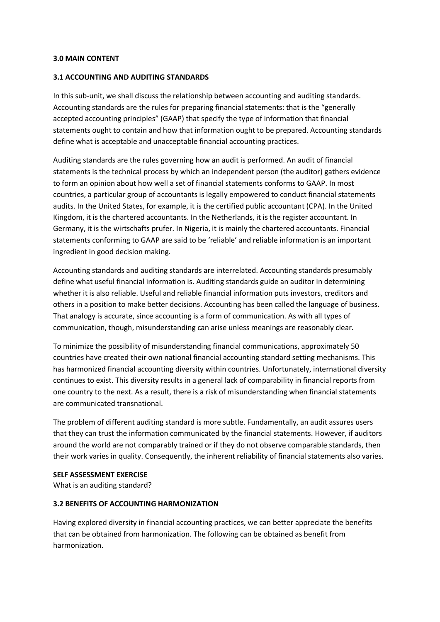#### **3.0 MAIN CONTENT**

#### **3.1 ACCOUNTING AND AUDITING STANDARDS**

In this sub-unit, we shall discuss the relationship between accounting and auditing standards. Accounting standards are the rules for preparing financial statements: that is the "generally accepted accounting principles" (GAAP) that specify the type of information that financial statements ought to contain and how that information ought to be prepared. Accounting standards define what is acceptable and unacceptable financial accounting practices.

Auditing standards are the rules governing how an audit is performed. An audit of financial statements is the technical process by which an independent person (the auditor) gathers evidence to form an opinion about how well a set of financial statements conforms to GAAP. In most countries, a particular group of accountants is legally empowered to conduct financial statements audits. In the United States, for example, it is the certified public accountant (CPA). In the United Kingdom, it is the chartered accountants. In the Netherlands, it is the register accountant. In Germany, it is the wirtschafts prufer. In Nigeria, it is mainly the chartered accountants. Financial statements conforming to GAAP are said to be 'reliable' and reliable information is an important ingredient in good decision making.

Accounting standards and auditing standards are interrelated. Accounting standards presumably define what useful financial information is. Auditing standards guide an auditor in determining whether it is also reliable. Useful and reliable financial information puts investors, creditors and others in a position to make better decisions. Accounting has been called the language of business. That analogy is accurate, since accounting is a form of communication. As with all types of communication, though, misunderstanding can arise unless meanings are reasonably clear.

To minimize the possibility of misunderstanding financial communications, approximately 50 countries have created their own national financial accounting standard setting mechanisms. This has harmonized financial accounting diversity within countries. Unfortunately, international diversity continues to exist. This diversity results in a general lack of comparability in financial reports from one country to the next. As a result, there is a risk of misunderstanding when financial statements are communicated transnational.

The problem of different auditing standard is more subtle. Fundamentally, an audit assures users that they can trust the information communicated by the financial statements. However, if auditors around the world are not comparably trained or if they do not observe comparable standards, then their work varies in quality. Consequently, the inherent reliability of financial statements also varies.

#### **SELF ASSESSMENT EXERCISE**

What is an auditing standard?

#### **3.2 BENEFITS OF ACCOUNTING HARMONIZATION**

Having explored diversity in financial accounting practices, we can better appreciate the benefits that can be obtained from harmonization. The following can be obtained as benefit from harmonization.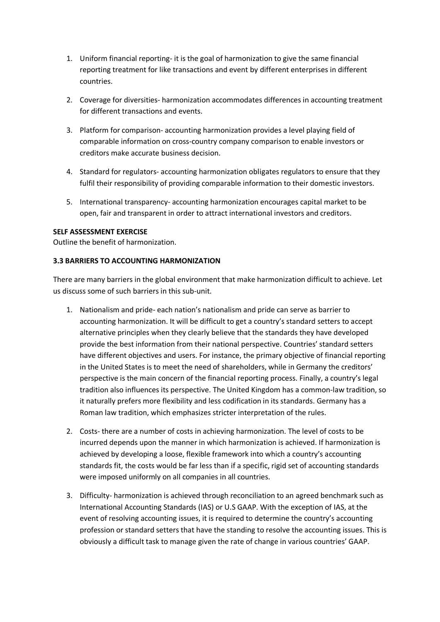- 1. Uniform financial reporting- it is the goal of harmonization to give the same financial reporting treatment for like transactions and event by different enterprises in different countries.
- 2. Coverage for diversities- harmonization accommodates differences in accounting treatment for different transactions and events.
- 3. Platform for comparison- accounting harmonization provides a level playing field of comparable information on cross-country company comparison to enable investors or creditors make accurate business decision.
- 4. Standard for regulators- accounting harmonization obligates regulators to ensure that they fulfil their responsibility of providing comparable information to their domestic investors.
- 5. International transparency- accounting harmonization encourages capital market to be open, fair and transparent in order to attract international investors and creditors.

#### **SELF ASSESSMENT EXERCISE**

Outline the benefit of harmonization.

#### **3.3 BARRIERS TO ACCOUNTING HARMONIZATION**

There are many barriers in the global environment that make harmonization difficult to achieve. Let us discuss some of such barriers in this sub-unit.

- 1. Nationalism and pride- each nation's nationalism and pride can serve as barrier to accounting harmonization. It will be difficult to get a country's standard setters to accept alternative principles when they clearly believe that the standards they have developed provide the best information from their national perspective. Countries' standard setters have different objectives and users. For instance, the primary objective of financial reporting in the United States is to meet the need of shareholders, while in Germany the creditors' perspective is the main concern of the financial reporting process. Finally, a country's legal tradition also influences its perspective. The United Kingdom has a common-law tradition, so it naturally prefers more flexibility and less codification in its standards. Germany has a Roman law tradition, which emphasizes stricter interpretation of the rules.
- 2. Costs- there are a number of costs in achieving harmonization. The level of costs to be incurred depends upon the manner in which harmonization is achieved. If harmonization is achieved by developing a loose, flexible framework into which a country's accounting standards fit, the costs would be far less than if a specific, rigid set of accounting standards were imposed uniformly on all companies in all countries.
- 3. Difficulty- harmonization is achieved through reconciliation to an agreed benchmark such as International Accounting Standards (IAS) or U.S GAAP. With the exception of IAS, at the event of resolving accounting issues, it is required to determine the country's accounting profession or standard setters that have the standing to resolve the accounting issues. This is obviously a difficult task to manage given the rate of change in various countries' GAAP.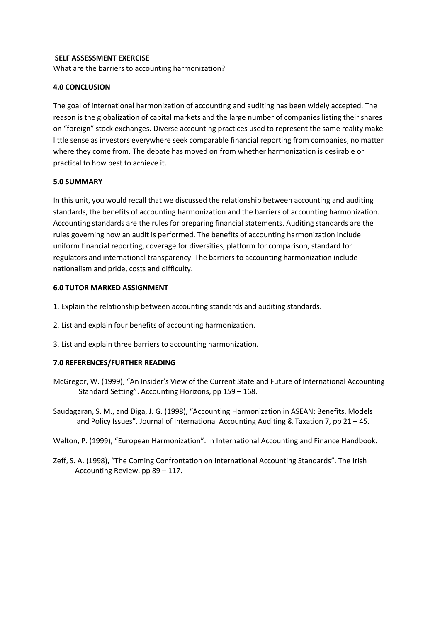#### **SELF ASSESSMENT EXERCISE**

What are the barriers to accounting harmonization?

#### **4.0 CONCLUSION**

The goal of international harmonization of accounting and auditing has been widely accepted. The reason is the globalization of capital markets and the large number of companies listing their shares on "foreign" stock exchanges. Diverse accounting practices used to represent the same reality make little sense as investors everywhere seek comparable financial reporting from companies, no matter where they come from. The debate has moved on from whether harmonization is desirable or practical to how best to achieve it.

#### **5.0 SUMMARY**

In this unit, you would recall that we discussed the relationship between accounting and auditing standards, the benefits of accounting harmonization and the barriers of accounting harmonization. Accounting standards are the rules for preparing financial statements. Auditing standards are the rules governing how an audit is performed. The benefits of accounting harmonization include uniform financial reporting, coverage for diversities, platform for comparison, standard for regulators and international transparency. The barriers to accounting harmonization include nationalism and pride, costs and difficulty.

#### **6.0 TUTOR MARKED ASSIGNMENT**

- 1. Explain the relationship between accounting standards and auditing standards.
- 2. List and explain four benefits of accounting harmonization.
- 3. List and explain three barriers to accounting harmonization.

#### **7.0 REFERENCES/FURTHER READING**

- McGregor, W. (1999), "An Insider's View of the Current State and Future of International Accounting Standard Setting". Accounting Horizons, pp 159 – 168.
- Saudagaran, S. M., and Diga, J. G. (1998), "Accounting Harmonization in ASEAN: Benefits, Models and Policy Issues". Journal of International Accounting Auditing & Taxation 7, pp 21 – 45.
- Walton, P. (1999), "European Harmonization". In International Accounting and Finance Handbook.
- Zeff, S. A. (1998), "The Coming Confrontation on International Accounting Standards". The Irish Accounting Review, pp 89 – 117.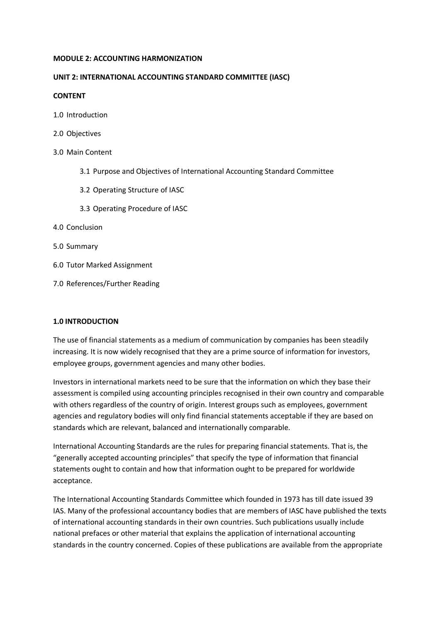#### **MODULE 2: ACCOUNTING HARMONIZATION**

#### **UNIT 2: INTERNATIONAL ACCOUNTING STANDARD COMMITTEE (IASC)**

#### **CONTENT**

- 1.0 Introduction
- 2.0 Objectives
- 3.0 Main Content
	- 3.1 Purpose and Objectives of International Accounting Standard Committee
	- 3.2 Operating Structure of IASC
	- 3.3 Operating Procedure of IASC
- 4.0 Conclusion
- 5.0 Summary
- 6.0 Tutor Marked Assignment
- 7.0 References/Further Reading

#### **1.0 INTRODUCTION**

The use of financial statements as a medium of communication by companies has been steadily increasing. It is now widely recognised that they are a prime source of information for investors, employee groups, government agencies and many other bodies.

Investors in international markets need to be sure that the information on which they base their assessment is compiled using accounting principles recognised in their own country and comparable with others regardless of the country of origin. Interest groups such as employees, government agencies and regulatory bodies will only find financial statements acceptable if they are based on standards which are relevant, balanced and internationally comparable.

International Accounting Standards are the rules for preparing financial statements. That is, the "generally accepted accounting principles" that specify the type of information that financial statements ought to contain and how that information ought to be prepared for worldwide acceptance.

The International Accounting Standards Committee which founded in 1973 has till date issued 39 IAS. Many of the professional accountancy bodies that are members of IASC have published the texts of international accounting standards in their own countries. Such publications usually include national prefaces or other material that explains the application of international accounting standards in the country concerned. Copies of these publications are available from the appropriate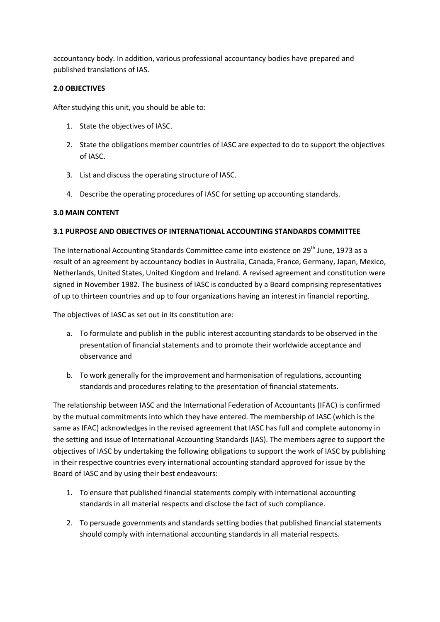accountancy body. In addition, various professional accountancy bodies have prepared and published translations of IAS.

#### **2.0 OBJECTIVES**

After studying this unit, you should be able to:

- 1. State the objectives of IASC.
- 2. State the obligations member countries of IASC are expected to do to support the objectives of IASC.
- 3. List and discuss the operating structure of IASC.
- 4. Describe the operating procedures of IASC for setting up accounting standards.

#### **3.0 MAIN CONTENT**

#### **3.1 PURPOSE AND OBJECTIVES OF INTERNATIONAL ACCOUNTING STANDARDS COMMITTEE**

The International Accounting Standards Committee came into existence on 29<sup>th</sup> June, 1973 as a result of an agreement by accountancy bodies in Australia, Canada, France, Germany, Japan, Mexico, Netherlands, United States, United Kingdom and Ireland. A revised agreement and constitution were signed in November 1982. The business of IASC is conducted by a Board comprising representatives of up to thirteen countries and up to four organizations having an interest in financial reporting.

The objectives of IASC as set out in its constitution are:

- a. To formulate and publish in the public interest accounting standards to be observed in the presentation of financial statements and to promote their worldwide acceptance and observance and
- b. To work generally for the improvement and harmonisation of regulations, accounting standards and procedures relating to the presentation of financial statements.

The relationship between IASC and the International Federation of Accountants (IFAC) is confirmed by the mutual commitments into which they have entered. The membership of IASC (which is the same as IFAC) acknowledges in the revised agreement that IASC has full and complete autonomy in the setting and issue of International Accounting Standards (IAS). The members agree to support the objectives of IASC by undertaking the following obligations to support the work of IASC by publishing in their respective countries every international accounting standard approved for issue by the Board of IASC and by using their best endeavours:

- 1. To ensure that published financial statements comply with international accounting standards in all material respects and disclose the fact of such compliance.
- 2. To persuade governments and standards setting bodies that published financial statements should comply with international accounting standards in all material respects.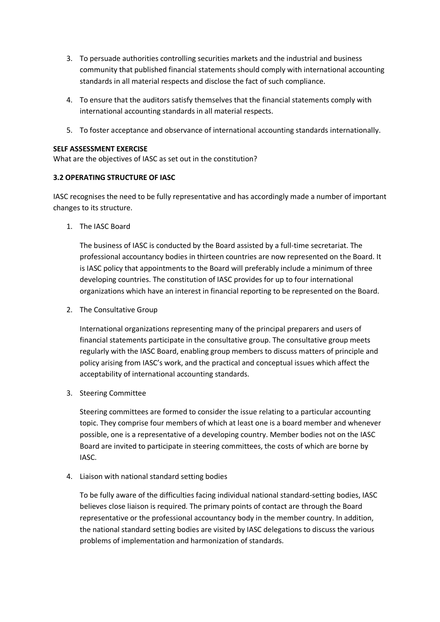- 3. To persuade authorities controlling securities markets and the industrial and business community that published financial statements should comply with international accounting standards in all material respects and disclose the fact of such compliance.
- 4. To ensure that the auditors satisfy themselves that the financial statements comply with international accounting standards in all material respects.
- 5. To foster acceptance and observance of international accounting standards internationally.

#### **SELF ASSESSMENT EXERCISE**

What are the objectives of IASC as set out in the constitution?

#### **3.2 OPERATING STRUCTURE OF IASC**

IASC recognises the need to be fully representative and has accordingly made a number of important changes to its structure.

1. The IASC Board

The business of IASC is conducted by the Board assisted by a full-time secretariat. The professional accountancy bodies in thirteen countries are now represented on the Board. It is IASC policy that appointments to the Board will preferably include a minimum of three developing countries. The constitution of IASC provides for up to four international organizations which have an interest in financial reporting to be represented on the Board.

2. The Consultative Group

International organizations representing many of the principal preparers and users of financial statements participate in the consultative group. The consultative group meets regularly with the IASC Board, enabling group members to discuss matters of principle and policy arising from IASC's work, and the practical and conceptual issues which affect the acceptability of international accounting standards.

3. Steering Committee

Steering committees are formed to consider the issue relating to a particular accounting topic. They comprise four members of which at least one is a board member and whenever possible, one is a representative of a developing country. Member bodies not on the IASC Board are invited to participate in steering committees, the costs of which are borne by IASC.

4. Liaison with national standard setting bodies

To be fully aware of the difficulties facing individual national standard-setting bodies, IASC believes close liaison is required. The primary points of contact are through the Board representative or the professional accountancy body in the member country. In addition, the national standard setting bodies are visited by IASC delegations to discuss the various problems of implementation and harmonization of standards.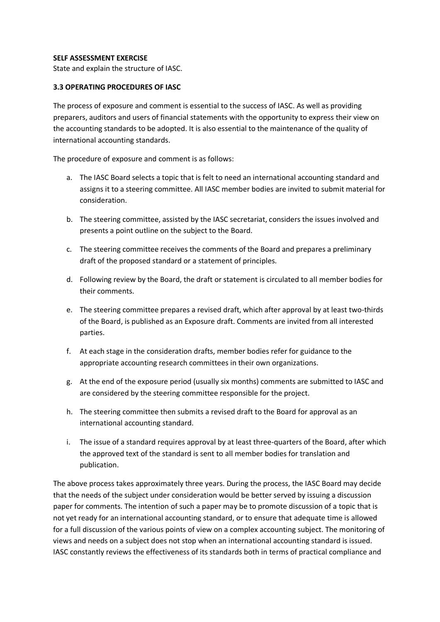#### **SELF ASSESSMENT EXERCISE**

State and explain the structure of IASC.

#### **3.3 OPERATING PROCEDURES OF IASC**

The process of exposure and comment is essential to the success of IASC. As well as providing preparers, auditors and users of financial statements with the opportunity to express their view on the accounting standards to be adopted. It is also essential to the maintenance of the quality of international accounting standards.

The procedure of exposure and comment is as follows:

- a. The IASC Board selects a topic that is felt to need an international accounting standard and assigns it to a steering committee. All IASC member bodies are invited to submit material for consideration.
- b. The steering committee, assisted by the IASC secretariat, considers the issues involved and presents a point outline on the subject to the Board.
- c. The steering committee receives the comments of the Board and prepares a preliminary draft of the proposed standard or a statement of principles.
- d. Following review by the Board, the draft or statement is circulated to all member bodies for their comments.
- e. The steering committee prepares a revised draft, which after approval by at least two-thirds of the Board, is published as an Exposure draft. Comments are invited from all interested parties.
- f. At each stage in the consideration drafts, member bodies refer for guidance to the appropriate accounting research committees in their own organizations.
- g. At the end of the exposure period (usually six months) comments are submitted to IASC and are considered by the steering committee responsible for the project.
- h. The steering committee then submits a revised draft to the Board for approval as an international accounting standard.
- i. The issue of a standard requires approval by at least three-quarters of the Board, after which the approved text of the standard is sent to all member bodies for translation and publication.

The above process takes approximately three years. During the process, the IASC Board may decide that the needs of the subject under consideration would be better served by issuing a discussion paper for comments. The intention of such a paper may be to promote discussion of a topic that is not yet ready for an international accounting standard, or to ensure that adequate time is allowed for a full discussion of the various points of view on a complex accounting subject. The monitoring of views and needs on a subject does not stop when an international accounting standard is issued. IASC constantly reviews the effectiveness of its standards both in terms of practical compliance and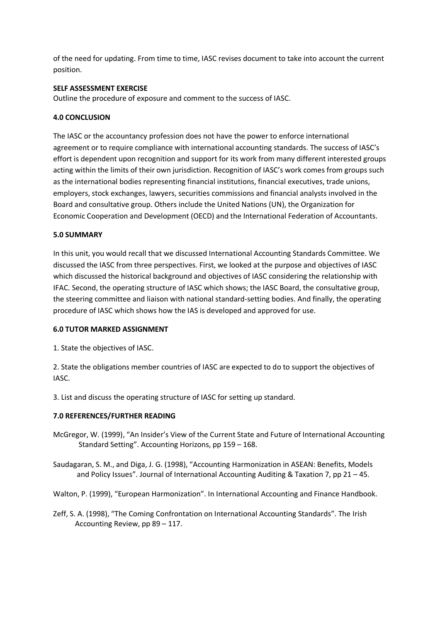of the need for updating. From time to time, IASC revises document to take into account the current position.

#### **SELF ASSESSMENT EXERCISE**

Outline the procedure of exposure and comment to the success of IASC.

#### **4.0 CONCLUSION**

The IASC or the accountancy profession does not have the power to enforce international agreement or to require compliance with international accounting standards. The success of IASC's effort is dependent upon recognition and support for its work from many different interested groups acting within the limits of their own jurisdiction. Recognition of IASC's work comes from groups such as the international bodies representing financial institutions, financial executives, trade unions, employers, stock exchanges, lawyers, securities commissions and financial analysts involved in the Board and consultative group. Others include the United Nations (UN), the Organization for Economic Cooperation and Development (OECD) and the International Federation of Accountants.

#### **5.0 SUMMARY**

In this unit, you would recall that we discussed International Accounting Standards Committee. We discussed the IASC from three perspectives. First, we looked at the purpose and objectives of IASC which discussed the historical background and objectives of IASC considering the relationship with IFAC. Second, the operating structure of IASC which shows; the IASC Board, the consultative group, the steering committee and liaison with national standard-setting bodies. And finally, the operating procedure of IASC which shows how the IAS is developed and approved for use.

#### **6.0 TUTOR MARKED ASSIGNMENT**

1. State the objectives of IASC.

2. State the obligations member countries of IASC are expected to do to support the objectives of IASC.

3. List and discuss the operating structure of IASC for setting up standard.

#### **7.0 REFERENCES/FURTHER READING**

McGregor, W. (1999), "An Insider's View of the Current State and Future of International Accounting Standard Setting". Accounting Horizons, pp 159 – 168.

Saudagaran, S. M., and Diga, J. G. (1998), "Accounting Harmonization in ASEAN: Benefits, Models and Policy Issues". Journal of International Accounting Auditing & Taxation 7, pp 21 – 45.

Walton, P. (1999), "European Harmonization". In International Accounting and Finance Handbook.

Zeff, S. A. (1998), "The Coming Confrontation on International Accounting Standards". The Irish Accounting Review, pp 89 – 117.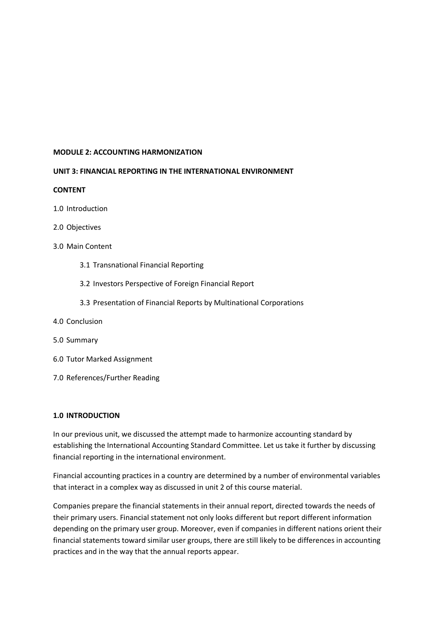#### **MODULE 2: ACCOUNTING HARMONIZATION**

#### **UNIT 3: FINANCIAL REPORTING IN THE INTERNATIONAL ENVIRONMENT**

#### **CONTENT**

- 1.0 Introduction
- 2.0 Objectives
- 3.0 Main Content
	- 3.1 Transnational Financial Reporting
	- 3.2 Investors Perspective of Foreign Financial Report
	- 3.3 Presentation of Financial Reports by Multinational Corporations
- 4.0 Conclusion
- 5.0 Summary
- 6.0 Tutor Marked Assignment
- 7.0 References/Further Reading

#### **1.0 INTRODUCTION**

In our previous unit, we discussed the attempt made to harmonize accounting standard by establishing the International Accounting Standard Committee. Let us take it further by discussing financial reporting in the international environment.

Financial accounting practices in a country are determined by a number of environmental variables that interact in a complex way as discussed in unit 2 of this course material.

Companies prepare the financial statements in their annual report, directed towards the needs of their primary users. Financial statement not only looks different but report different information depending on the primary user group. Moreover, even if companies in different nations orient their financial statements toward similar user groups, there are still likely to be differences in accounting practices and in the way that the annual reports appear.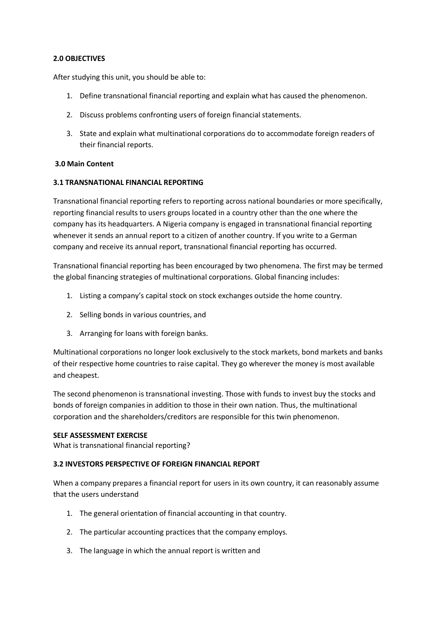#### **2.0 OBJECTIVES**

After studying this unit, you should be able to:

- 1. Define transnational financial reporting and explain what has caused the phenomenon.
- 2. Discuss problems confronting users of foreign financial statements.
- 3. State and explain what multinational corporations do to accommodate foreign readers of their financial reports.

#### **3.0 Main Content**

#### **3.1 TRANSNATIONAL FINANCIAL REPORTING**

Transnational financial reporting refers to reporting across national boundaries or more specifically, reporting financial results to users groups located in a country other than the one where the company has its headquarters. A Nigeria company is engaged in transnational financial reporting whenever it sends an annual report to a citizen of another country. If you write to a German company and receive its annual report, transnational financial reporting has occurred.

Transnational financial reporting has been encouraged by two phenomena. The first may be termed the global financing strategies of multinational corporations. Global financing includes:

- 1. Listing a company's capital stock on stock exchanges outside the home country.
- 2. Selling bonds in various countries, and
- 3. Arranging for loans with foreign banks.

Multinational corporations no longer look exclusively to the stock markets, bond markets and banks of their respective home countries to raise capital. They go wherever the money is most available and cheapest.

The second phenomenon is transnational investing. Those with funds to invest buy the stocks and bonds of foreign companies in addition to those in their own nation. Thus, the multinational corporation and the shareholders/creditors are responsible for this twin phenomenon.

#### **SELF ASSESSMENT EXERCISE**

What is transnational financial reporting?

#### **3.2 INVESTORS PERSPECTIVE OF FOREIGN FINANCIAL REPORT**

When a company prepares a financial report for users in its own country, it can reasonably assume that the users understand

- 1. The general orientation of financial accounting in that country.
- 2. The particular accounting practices that the company employs.
- 3. The language in which the annual report is written and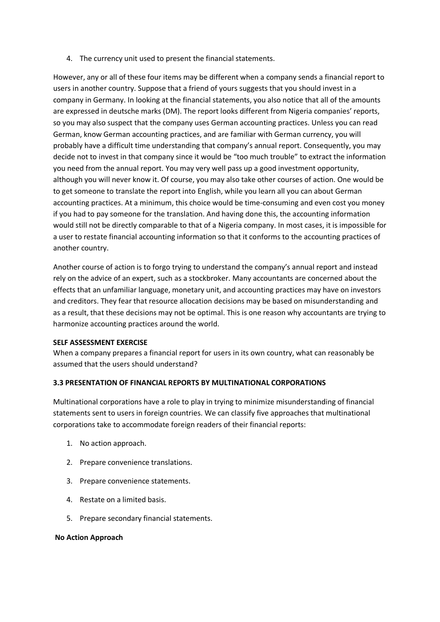4. The currency unit used to present the financial statements.

However, any or all of these four items may be different when a company sends a financial report to users in another country. Suppose that a friend of yours suggests that you should invest in a company in Germany. In looking at the financial statements, you also notice that all of the amounts are expressed in deutsche marks (DM). The report looks different from Nigeria companies' reports, so you may also suspect that the company uses German accounting practices. Unless you can read German, know German accounting practices, and are familiar with German currency, you will probably have a difficult time understanding that company's annual report. Consequently, you may decide not to invest in that company since it would be "too much trouble" to extract the information you need from the annual report. You may very well pass up a good investment opportunity, although you will never know it. Of course, you may also take other courses of action. One would be to get someone to translate the report into English, while you learn all you can about German accounting practices. At a minimum, this choice would be time-consuming and even cost you money if you had to pay someone for the translation. And having done this, the accounting information would still not be directly comparable to that of a Nigeria company. In most cases, it is impossible for a user to restate financial accounting information so that it conforms to the accounting practices of another country.

Another course of action is to forgo trying to understand the company's annual report and instead rely on the advice of an expert, such as a stockbroker. Many accountants are concerned about the effects that an unfamiliar language, monetary unit, and accounting practices may have on investors and creditors. They fear that resource allocation decisions may be based on misunderstanding and as a result, that these decisions may not be optimal. This is one reason why accountants are trying to harmonize accounting practices around the world.

### **SELF ASSESSMENT EXERCISE**

When a company prepares a financial report for users in its own country, what can reasonably be assumed that the users should understand?

# **3.3 PRESENTATION OF FINANCIAL REPORTS BY MULTINATIONAL CORPORATIONS**

Multinational corporations have a role to play in trying to minimize misunderstanding of financial statements sent to users in foreign countries. We can classify five approaches that multinational corporations take to accommodate foreign readers of their financial reports:

- 1. No action approach.
- 2. Prepare convenience translations.
- 3. Prepare convenience statements.
- 4. Restate on a limited basis.
- 5. Prepare secondary financial statements.

### **No Action Approach**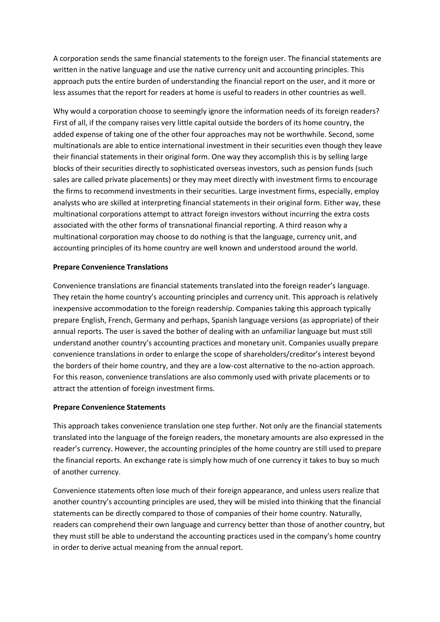A corporation sends the same financial statements to the foreign user. The financial statements are written in the native language and use the native currency unit and accounting principles. This approach puts the entire burden of understanding the financial report on the user, and it more or less assumes that the report for readers at home is useful to readers in other countries as well.

Why would a corporation choose to seemingly ignore the information needs of its foreign readers? First of all, if the company raises very little capital outside the borders of its home country, the added expense of taking one of the other four approaches may not be worthwhile. Second, some multinationals are able to entice international investment in their securities even though they leave their financial statements in their original form. One way they accomplish this is by selling large blocks of their securities directly to sophisticated overseas investors, such as pension funds (such sales are called private placements) or they may meet directly with investment firms to encourage the firms to recommend investments in their securities. Large investment firms, especially, employ analysts who are skilled at interpreting financial statements in their original form. Either way, these multinational corporations attempt to attract foreign investors without incurring the extra costs associated with the other forms of transnational financial reporting. A third reason why a multinational corporation may choose to do nothing is that the language, currency unit, and accounting principles of its home country are well known and understood around the world.

## **Prepare Convenience Translations**

Convenience translations are financial statements translated into the foreign reader's language. They retain the home country's accounting principles and currency unit. This approach is relatively inexpensive accommodation to the foreign readership. Companies taking this approach typically prepare English, French, Germany and perhaps, Spanish language versions (as appropriate) of their annual reports. The user is saved the bother of dealing with an unfamiliar language but must still understand another country's accounting practices and monetary unit. Companies usually prepare convenience translations in order to enlarge the scope of shareholders/creditor's interest beyond the borders of their home country, and they are a low-cost alternative to the no-action approach. For this reason, convenience translations are also commonly used with private placements or to attract the attention of foreign investment firms.

### **Prepare Convenience Statements**

This approach takes convenience translation one step further. Not only are the financial statements translated into the language of the foreign readers, the monetary amounts are also expressed in the reader's currency. However, the accounting principles of the home country are still used to prepare the financial reports. An exchange rate is simply how much of one currency it takes to buy so much of another currency.

Convenience statements often lose much of their foreign appearance, and unless users realize that another country's accounting principles are used, they will be misled into thinking that the financial statements can be directly compared to those of companies of their home country. Naturally, readers can comprehend their own language and currency better than those of another country, but they must still be able to understand the accounting practices used in the company's home country in order to derive actual meaning from the annual report.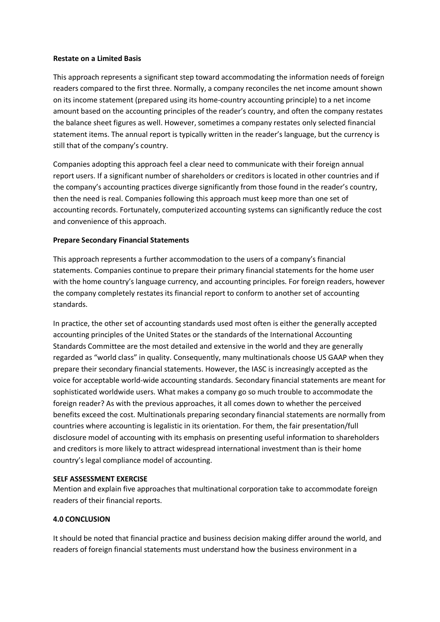#### **Restate on a Limited Basis**

This approach represents a significant step toward accommodating the information needs of foreign readers compared to the first three. Normally, a company reconciles the net income amount shown on its income statement (prepared using its home-country accounting principle) to a net income amount based on the accounting principles of the reader's country, and often the company restates the balance sheet figures as well. However, sometimes a company restates only selected financial statement items. The annual report is typically written in the reader's language, but the currency is still that of the company's country.

Companies adopting this approach feel a clear need to communicate with their foreign annual report users. If a significant number of shareholders or creditors is located in other countries and if the company's accounting practices diverge significantly from those found in the reader's country, then the need is real. Companies following this approach must keep more than one set of accounting records. Fortunately, computerized accounting systems can significantly reduce the cost and convenience of this approach.

### **Prepare Secondary Financial Statements**

This approach represents a further accommodation to the users of a company's financial statements. Companies continue to prepare their primary financial statements for the home user with the home country's language currency, and accounting principles. For foreign readers, however the company completely restates its financial report to conform to another set of accounting standards.

In practice, the other set of accounting standards used most often is either the generally accepted accounting principles of the United States or the standards of the International Accounting Standards Committee are the most detailed and extensive in the world and they are generally regarded as "world class" in quality. Consequently, many multinationals choose US GAAP when they prepare their secondary financial statements. However, the IASC is increasingly accepted as the voice for acceptable world-wide accounting standards. Secondary financial statements are meant for sophisticated worldwide users. What makes a company go so much trouble to accommodate the foreign reader? As with the previous approaches, it all comes down to whether the perceived benefits exceed the cost. Multinationals preparing secondary financial statements are normally from countries where accounting is legalistic in its orientation. For them, the fair presentation/full disclosure model of accounting with its emphasis on presenting useful information to shareholders and creditors is more likely to attract widespread international investment than is their home country's legal compliance model of accounting.

### **SELF ASSESSMENT EXERCISE**

Mention and explain five approaches that multinational corporation take to accommodate foreign readers of their financial reports.

# **4.0 CONCLUSION**

It should be noted that financial practice and business decision making differ around the world, and readers of foreign financial statements must understand how the business environment in a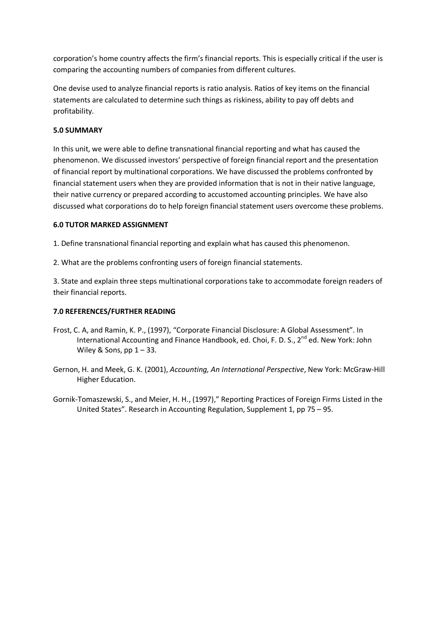corporation's home country affects the firm's financial reports. This is especially critical if the user is comparing the accounting numbers of companies from different cultures.

One devise used to analyze financial reports is ratio analysis. Ratios of key items on the financial statements are calculated to determine such things as riskiness, ability to pay off debts and profitability.

# **5.0 SUMMARY**

In this unit, we were able to define transnational financial reporting and what has caused the phenomenon. We discussed investors' perspective of foreign financial report and the presentation of financial report by multinational corporations. We have discussed the problems confronted by financial statement users when they are provided information that is not in their native language, their native currency or prepared according to accustomed accounting principles. We have also discussed what corporations do to help foreign financial statement users overcome these problems.

### **6.0 TUTOR MARKED ASSIGNMENT**

1. Define transnational financial reporting and explain what has caused this phenomenon.

2. What are the problems confronting users of foreign financial statements.

3. State and explain three steps multinational corporations take to accommodate foreign readers of their financial reports.

# **7.0 REFERENCES/FURTHER READING**

- Frost, C. A, and Ramin, K. P., (1997), "Corporate Financial Disclosure: A Global Assessment". In International Accounting and Finance Handbook, ed. Choi, F. D. S., 2<sup>nd</sup> ed. New York: John Wiley & Sons,  $pp 1 - 33$ .
- Gernon, H. and Meek, G. K. (2001), *Accounting, An International Perspective*, New York: McGraw-Hill Higher Education.
- Gornik-Tomaszewski, S., and Meier, H. H., (1997)," Reporting Practices of Foreign Firms Listed in the United States". Research in Accounting Regulation, Supplement 1, pp 75 – 95.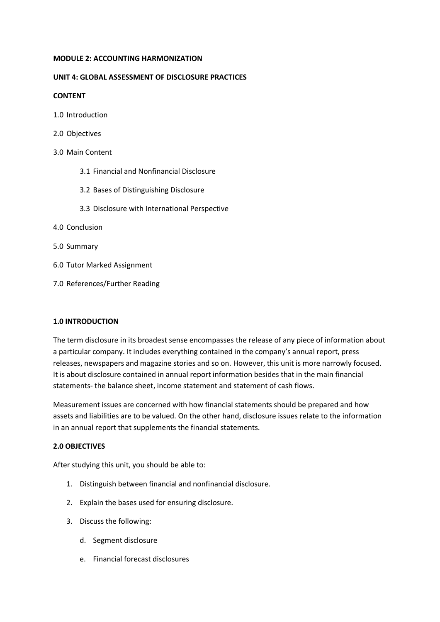#### **MODULE 2: ACCOUNTING HARMONIZATION**

### **UNIT 4: GLOBAL ASSESSMENT OF DISCLOSURE PRACTICES**

### **CONTENT**

- 1.0 Introduction
- 2.0 Objectives
- 3.0 Main Content
	- 3.1 Financial and Nonfinancial Disclosure
	- 3.2 Bases of Distinguishing Disclosure
	- 3.3 Disclosure with International Perspective
- 4.0 Conclusion
- 5.0 Summary
- 6.0 Tutor Marked Assignment
- 7.0 References/Further Reading

### **1.0 INTRODUCTION**

The term disclosure in its broadest sense encompasses the release of any piece of information about a particular company. It includes everything contained in the company's annual report, press releases, newspapers and magazine stories and so on. However, this unit is more narrowly focused. It is about disclosure contained in annual report information besides that in the main financial statements- the balance sheet, income statement and statement of cash flows.

Measurement issues are concerned with how financial statements should be prepared and how assets and liabilities are to be valued. On the other hand, disclosure issues relate to the information in an annual report that supplements the financial statements.

# **2.0 OBJECTIVES**

After studying this unit, you should be able to:

- 1. Distinguish between financial and nonfinancial disclosure.
- 2. Explain the bases used for ensuring disclosure.
- 3. Discuss the following:
	- d. Segment disclosure
	- e. Financial forecast disclosures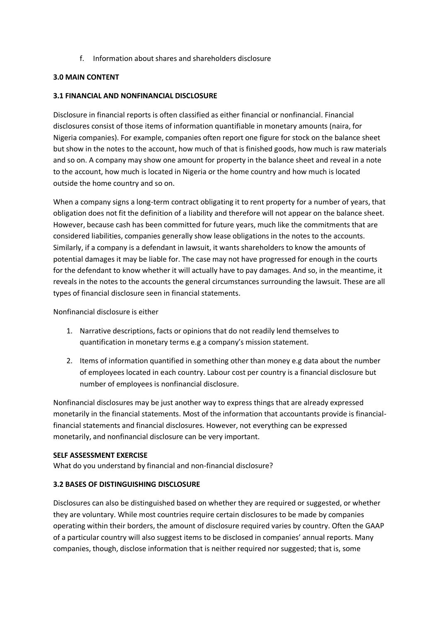f. Information about shares and shareholders disclosure

## **3.0 MAIN CONTENT**

## **3.1 FINANCIAL AND NONFINANCIAL DISCLOSURE**

Disclosure in financial reports is often classified as either financial or nonfinancial. Financial disclosures consist of those items of information quantifiable in monetary amounts (naira, for Nigeria companies). For example, companies often report one figure for stock on the balance sheet but show in the notes to the account, how much of that is finished goods, how much is raw materials and so on. A company may show one amount for property in the balance sheet and reveal in a note to the account, how much is located in Nigeria or the home country and how much is located outside the home country and so on.

When a company signs a long-term contract obligating it to rent property for a number of years, that obligation does not fit the definition of a liability and therefore will not appear on the balance sheet. However, because cash has been committed for future years, much like the commitments that are considered liabilities, companies generally show lease obligations in the notes to the accounts. Similarly, if a company is a defendant in lawsuit, it wants shareholders to know the amounts of potential damages it may be liable for. The case may not have progressed for enough in the courts for the defendant to know whether it will actually have to pay damages. And so, in the meantime, it reveals in the notes to the accounts the general circumstances surrounding the lawsuit. These are all types of financial disclosure seen in financial statements.

Nonfinancial disclosure is either

- 1. Narrative descriptions, facts or opinions that do not readily lend themselves to quantification in monetary terms e.g a company's mission statement.
- 2. Items of information quantified in something other than money e.g data about the number of employees located in each country. Labour cost per country is a financial disclosure but number of employees is nonfinancial disclosure.

Nonfinancial disclosures may be just another way to express things that are already expressed monetarily in the financial statements. Most of the information that accountants provide is financialfinancial statements and financial disclosures. However, not everything can be expressed monetarily, and nonfinancial disclosure can be very important.

### **SELF ASSESSMENT EXERCISE**

What do you understand by financial and non-financial disclosure?

# **3.2 BASES OF DISTINGUISHING DISCLOSURE**

Disclosures can also be distinguished based on whether they are required or suggested, or whether they are voluntary. While most countries require certain disclosures to be made by companies operating within their borders, the amount of disclosure required varies by country. Often the GAAP of a particular country will also suggest items to be disclosed in companies' annual reports. Many companies, though, disclose information that is neither required nor suggested; that is, some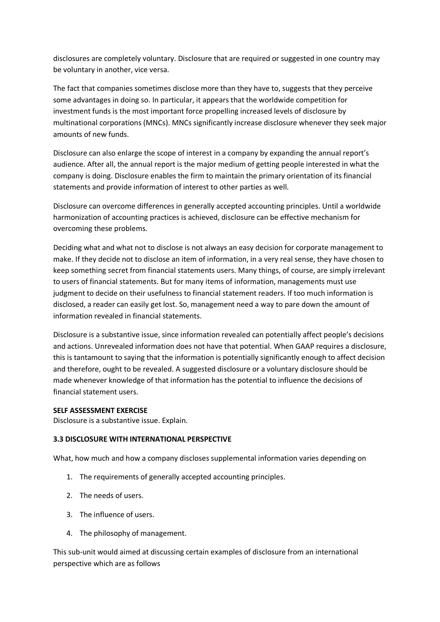disclosures are completely voluntary. Disclosure that are required or suggested in one country may be voluntary in another, vice versa.

The fact that companies sometimes disclose more than they have to, suggests that they perceive some advantages in doing so. In particular, it appears that the worldwide competition for investment funds is the most important force propelling increased levels of disclosure by multinational corporations (MNCs). MNCs significantly increase disclosure whenever they seek major amounts of new funds.

Disclosure can also enlarge the scope of interest in a company by expanding the annual report's audience. After all, the annual report is the major medium of getting people interested in what the company is doing. Disclosure enables the firm to maintain the primary orientation of its financial statements and provide information of interest to other parties as well.

Disclosure can overcome differences in generally accepted accounting principles. Until a worldwide harmonization of accounting practices is achieved, disclosure can be effective mechanism for overcoming these problems.

Deciding what and what not to disclose is not always an easy decision for corporate management to make. If they decide not to disclose an item of information, in a very real sense, they have chosen to keep something secret from financial statements users. Many things, of course, are simply irrelevant to users of financial statements. But for many items of information, managements must use judgment to decide on their usefulness to financial statement readers. If too much information is disclosed, a reader can easily get lost. So, management need a way to pare down the amount of information revealed in financial statements.

Disclosure is a substantive issue, since information revealed can potentially affect people's decisions and actions. Unrevealed information does not have that potential. When GAAP requires a disclosure, this is tantamount to saying that the information is potentially significantly enough to affect decision and therefore, ought to be revealed. A suggested disclosure or a voluntary disclosure should be made whenever knowledge of that information has the potential to influence the decisions of financial statement users.

### **SELF ASSESSMENT EXERCISE**

Disclosure is a substantive issue. Explain.

### **3.3 DISCLOSURE WITH INTERNATIONAL PERSPECTIVE**

What, how much and how a company discloses supplemental information varies depending on

- 1. The requirements of generally accepted accounting principles.
- 2. The needs of users.
- 3. The influence of users.
- 4. The philosophy of management.

This sub-unit would aimed at discussing certain examples of disclosure from an international perspective which are as follows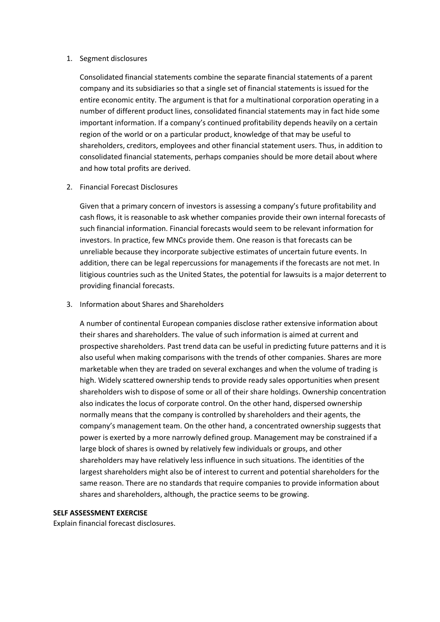#### 1. Segment disclosures

Consolidated financial statements combine the separate financial statements of a parent company and its subsidiaries so that a single set of financial statements is issued for the entire economic entity. The argument is that for a multinational corporation operating in a number of different product lines, consolidated financial statements may in fact hide some important information. If a company's continued profitability depends heavily on a certain region of the world or on a particular product, knowledge of that may be useful to shareholders, creditors, employees and other financial statement users. Thus, in addition to consolidated financial statements, perhaps companies should be more detail about where and how total profits are derived.

## 2. Financial Forecast Disclosures

Given that a primary concern of investors is assessing a company's future profitability and cash flows, it is reasonable to ask whether companies provide their own internal forecasts of such financial information. Financial forecasts would seem to be relevant information for investors. In practice, few MNCs provide them. One reason is that forecasts can be unreliable because they incorporate subjective estimates of uncertain future events. In addition, there can be legal repercussions for managements if the forecasts are not met. In litigious countries such as the United States, the potential for lawsuits is a major deterrent to providing financial forecasts.

3. Information about Shares and Shareholders

A number of continental European companies disclose rather extensive information about their shares and shareholders. The value of such information is aimed at current and prospective shareholders. Past trend data can be useful in predicting future patterns and it is also useful when making comparisons with the trends of other companies. Shares are more marketable when they are traded on several exchanges and when the volume of trading is high. Widely scattered ownership tends to provide ready sales opportunities when present shareholders wish to dispose of some or all of their share holdings. Ownership concentration also indicates the locus of corporate control. On the other hand, dispersed ownership normally means that the company is controlled by shareholders and their agents, the company's management team. On the other hand, a concentrated ownership suggests that power is exerted by a more narrowly defined group. Management may be constrained if a large block of shares is owned by relatively few individuals or groups, and other shareholders may have relatively less influence in such situations. The identities of the largest shareholders might also be of interest to current and potential shareholders for the same reason. There are no standards that require companies to provide information about shares and shareholders, although, the practice seems to be growing.

### **SELF ASSESSMENT EXERCISE**

Explain financial forecast disclosures.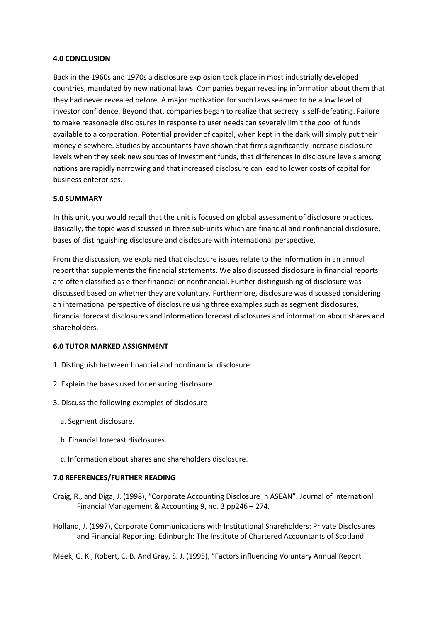#### **4.0 CONCLUSION**

Back in the 1960s and 1970s a disclosure explosion took place in most industrially developed countries, mandated by new national laws. Companies began revealing information about them that they had never revealed before. A major motivation for such laws seemed to be a low level of investor confidence. Beyond that, companies began to realize that secrecy is self-defeating. Failure to make reasonable disclosures in response to user needs can severely limit the pool of funds available to a corporation. Potential provider of capital, when kept in the dark will simply put their money elsewhere. Studies by accountants have shown that firms significantly increase disclosure levels when they seek new sources of investment funds, that differences in disclosure levels among nations are rapidly narrowing and that increased disclosure can lead to lower costs of capital for business enterprises.

#### **5.0 SUMMARY**

In this unit, you would recall that the unit is focused on global assessment of disclosure practices. Basically, the topic was discussed in three sub-units which are financial and nonfinancial disclosure, bases of distinguishing disclosure and disclosure with international perspective.

From the discussion, we explained that disclosure issues relate to the information in an annual report that supplements the financial statements. We also discussed disclosure in financial reports are often classified as either financial or nonfinancial. Further distinguishing of disclosure was discussed based on whether they are voluntary. Furthermore, disclosure was discussed considering an international perspective of disclosure using three examples such as segment disclosures, financial forecast disclosures and information forecast disclosures and information about shares and shareholders.

#### **6.0 TUTOR MARKED ASSIGNMENT**

- 1. Distinguish between financial and nonfinancial disclosure.
- 2. Explain the bases used for ensuring disclosure.
- 3. Discuss the following examples of disclosure
	- a. Segment disclosure.
	- b. Financial forecast disclosures.
	- c. Information about shares and shareholders disclosure.

#### **7.0 REFERENCES/FURTHER READING**

Craig, R., and Diga, J. (1998), "Corporate Accounting Disclosure in ASEAN". Journal of Internationl Financial Management & Accounting 9, no. 3 pp246 – 274.

Holland, J. (1997), Corporate Communications with Institutional Shareholders: Private Disclosures and Financial Reporting. Edinburgh: The Institute of Chartered Accountants of Scotland.

Meek, G. K., Robert, C. B. And Gray, S. J. (1995), "Factors influencing Voluntary Annual Report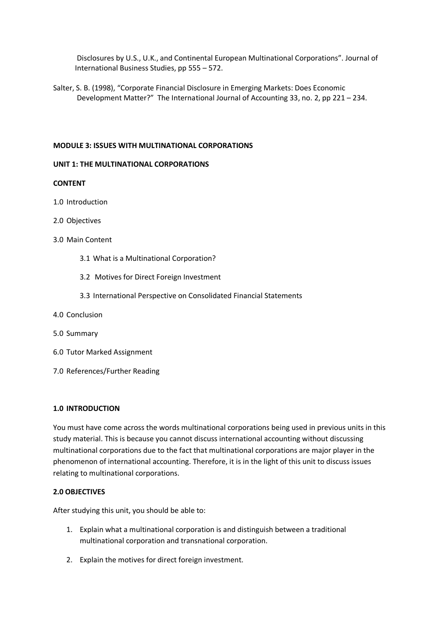Disclosures by U.S., U.K., and Continental European Multinational Corporations". Journal of International Business Studies, pp 555 – 572.

Salter, S. B. (1998), "Corporate Financial Disclosure in Emerging Markets: Does Economic Development Matter?" The International Journal of Accounting 33, no. 2, pp 221 – 234.

### **MODULE 3: ISSUES WITH MULTINATIONAL CORPORATIONS**

#### **UNIT 1: THE MULTINATIONAL CORPORATIONS**

#### **CONTENT**

- 1.0 Introduction
- 2.0 Objectives
- 3.0 Main Content
	- 3.1 What is a Multinational Corporation?
	- 3.2 Motives for Direct Foreign Investment
	- 3.3 International Perspective on Consolidated Financial Statements
- 4.0 Conclusion
- 5.0 Summary
- 6.0 Tutor Marked Assignment
- 7.0 References/Further Reading

#### **1.0 INTRODUCTION**

You must have come across the words multinational corporations being used in previous units in this study material. This is because you cannot discuss international accounting without discussing multinational corporations due to the fact that multinational corporations are major player in the phenomenon of international accounting. Therefore, it is in the light of this unit to discuss issues relating to multinational corporations.

### **2.0 OBJECTIVES**

After studying this unit, you should be able to:

- 1. Explain what a multinational corporation is and distinguish between a traditional multinational corporation and transnational corporation.
- 2. Explain the motives for direct foreign investment.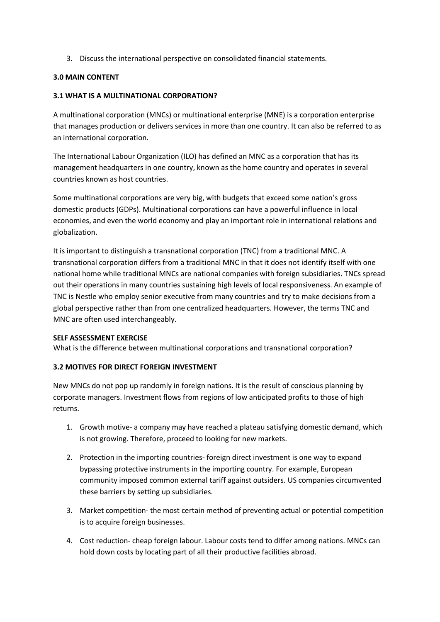3. Discuss the international perspective on consolidated financial statements.

## **3.0 MAIN CONTENT**

## **3.1 WHAT IS A MULTINATIONAL CORPORATION?**

A multinational corporation (MNCs) or multinational enterprise (MNE) is a corporation enterprise that manages production or delivers services in more than one country. It can also be referred to as an international corporation.

The International Labour Organization (ILO) has defined an MNC as a corporation that has its management headquarters in one country, known as the home country and operates in several countries known as host countries.

Some multinational corporations are very big, with budgets that exceed some nation's gross domestic products (GDPs). Multinational corporations can have a powerful influence in local economies, and even the world economy and play an important role in international relations and globalization.

It is important to distinguish a transnational corporation (TNC) from a traditional MNC. A transnational corporation differs from a traditional MNC in that it does not identify itself with one national home while traditional MNCs are national companies with foreign subsidiaries. TNCs spread out their operations in many countries sustaining high levels of local responsiveness. An example of TNC is Nestle who employ senior executive from many countries and try to make decisions from a global perspective rather than from one centralized headquarters. However, the terms TNC and MNC are often used interchangeably.

### **SELF ASSESSMENT EXERCISE**

What is the difference between multinational corporations and transnational corporation?

### **3.2 MOTIVES FOR DIRECT FOREIGN INVESTMENT**

New MNCs do not pop up randomly in foreign nations. It is the result of conscious planning by corporate managers. Investment flows from regions of low anticipated profits to those of high returns.

- 1. Growth motive- a company may have reached a plateau satisfying domestic demand, which is not growing. Therefore, proceed to looking for new markets.
- 2. Protection in the importing countries- foreign direct investment is one way to expand bypassing protective instruments in the importing country. For example, European community imposed common external tariff against outsiders. US companies circumvented these barriers by setting up subsidiaries.
- 3. Market competition- the most certain method of preventing actual or potential competition is to acquire foreign businesses.
- 4. Cost reduction- cheap foreign labour. Labour costs tend to differ among nations. MNCs can hold down costs by locating part of all their productive facilities abroad.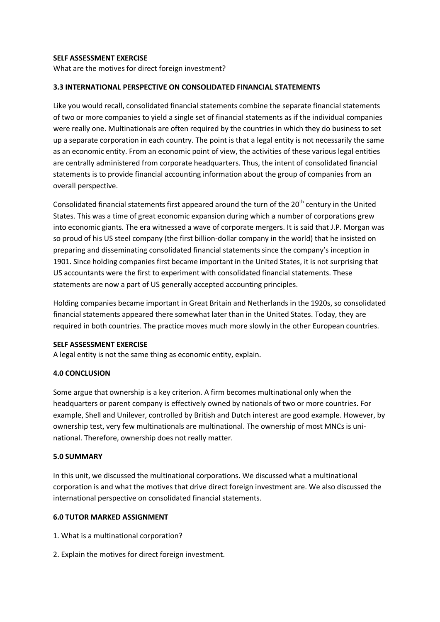### **SELF ASSESSMENT EXERCISE**

What are the motives for direct foreign investment?

## **3.3 INTERNATIONAL PERSPECTIVE ON CONSOLIDATED FINANCIAL STATEMENTS**

Like you would recall, consolidated financial statements combine the separate financial statements of two or more companies to yield a single set of financial statements as if the individual companies were really one. Multinationals are often required by the countries in which they do business to set up a separate corporation in each country. The point is that a legal entity is not necessarily the same as an economic entity. From an economic point of view, the activities of these various legal entities are centrally administered from corporate headquarters. Thus, the intent of consolidated financial statements is to provide financial accounting information about the group of companies from an overall perspective.

Consolidated financial statements first appeared around the turn of the  $20<sup>th</sup>$  century in the United States. This was a time of great economic expansion during which a number of corporations grew into economic giants. The era witnessed a wave of corporate mergers. It is said that J.P. Morgan was so proud of his US steel company (the first billion-dollar company in the world) that he insisted on preparing and disseminating consolidated financial statements since the company's inception in 1901. Since holding companies first became important in the United States, it is not surprising that US accountants were the first to experiment with consolidated financial statements. These statements are now a part of US generally accepted accounting principles.

Holding companies became important in Great Britain and Netherlands in the 1920s, so consolidated financial statements appeared there somewhat later than in the United States. Today, they are required in both countries. The practice moves much more slowly in the other European countries.

### **SELF ASSESSMENT EXERCISE**

A legal entity is not the same thing as economic entity, explain.

# **4.0 CONCLUSION**

Some argue that ownership is a key criterion. A firm becomes multinational only when the headquarters or parent company is effectively owned by nationals of two or more countries. For example, Shell and Unilever, controlled by British and Dutch interest are good example. However, by ownership test, very few multinationals are multinational. The ownership of most MNCs is uninational. Therefore, ownership does not really matter.

### **5.0 SUMMARY**

In this unit, we discussed the multinational corporations. We discussed what a multinational corporation is and what the motives that drive direct foreign investment are. We also discussed the international perspective on consolidated financial statements.

### **6.0 TUTOR MARKED ASSIGNMENT**

- 1. What is a multinational corporation?
- 2. Explain the motives for direct foreign investment.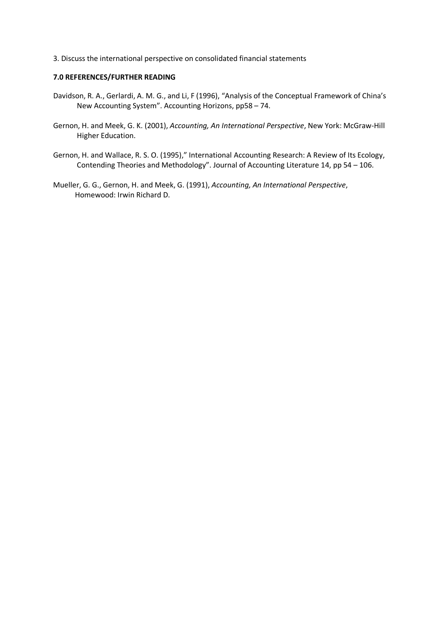3. Discuss the international perspective on consolidated financial statements

### **7.0 REFERENCES/FURTHER READING**

- Davidson, R. A., Gerlardi, A. M. G., and Li, F (1996), "Analysis of the Conceptual Framework of China's New Accounting System". Accounting Horizons, pp58 – 74.
- Gernon, H. and Meek, G. K. (2001), *Accounting, An International Perspective*, New York: McGraw-Hill Higher Education.
- Gernon, H. and Wallace, R. S. O. (1995)," International Accounting Research: A Review of Its Ecology, Contending Theories and Methodology". Journal of Accounting Literature 14, pp 54 – 106.
- Mueller, G. G., Gernon, H. and Meek, G. (1991), *Accounting, An International Perspective*, Homewood: Irwin Richard D.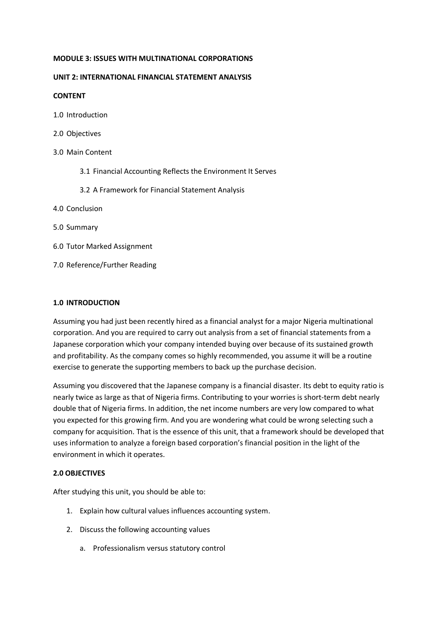#### **MODULE 3: ISSUES WITH MULTINATIONAL CORPORATIONS**

#### **UNIT 2: INTERNATIONAL FINANCIAL STATEMENT ANALYSIS**

#### **CONTENT**

- 1.0 Introduction
- 2.0 Objectives
- 3.0 Main Content
	- 3.1 Financial Accounting Reflects the Environment It Serves
	- 3.2 A Framework for Financial Statement Analysis
- 4.0 Conclusion
- 5.0 Summary
- 6.0 Tutor Marked Assignment
- 7.0 Reference/Further Reading

#### **1.0 INTRODUCTION**

Assuming you had just been recently hired as a financial analyst for a major Nigeria multinational corporation. And you are required to carry out analysis from a set of financial statements from a Japanese corporation which your company intended buying over because of its sustained growth and profitability. As the company comes so highly recommended, you assume it will be a routine exercise to generate the supporting members to back up the purchase decision.

Assuming you discovered that the Japanese company is a financial disaster. Its debt to equity ratio is nearly twice as large as that of Nigeria firms. Contributing to your worries is short-term debt nearly double that of Nigeria firms. In addition, the net income numbers are very low compared to what you expected for this growing firm. And you are wondering what could be wrong selecting such a company for acquisition. That is the essence of this unit, that a framework should be developed that uses information to analyze a foreign based corporation's financial position in the light of the environment in which it operates.

### **2.0 OBJECTIVES**

After studying this unit, you should be able to:

- 1. Explain how cultural values influences accounting system.
- 2. Discuss the following accounting values
	- a. Professionalism versus statutory control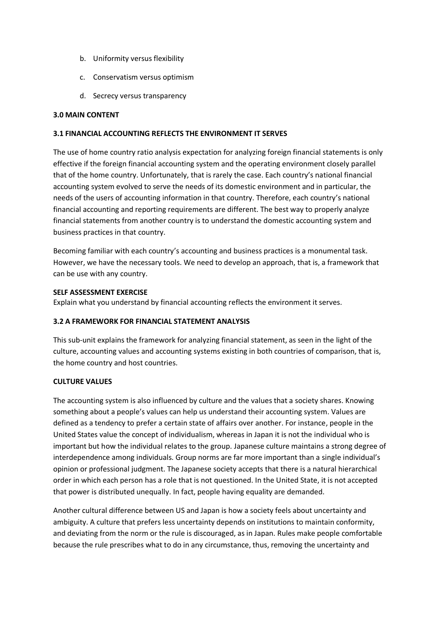- b. Uniformity versus flexibility
- c. Conservatism versus optimism
- d. Secrecy versus transparency

### **3.0 MAIN CONTENT**

### **3.1 FINANCIAL ACCOUNTING REFLECTS THE ENVIRONMENT IT SERVES**

The use of home country ratio analysis expectation for analyzing foreign financial statements is only effective if the foreign financial accounting system and the operating environment closely parallel that of the home country. Unfortunately, that is rarely the case. Each country's national financial accounting system evolved to serve the needs of its domestic environment and in particular, the needs of the users of accounting information in that country. Therefore, each country's national financial accounting and reporting requirements are different. The best way to properly analyze financial statements from another country is to understand the domestic accounting system and business practices in that country.

Becoming familiar with each country's accounting and business practices is a monumental task. However, we have the necessary tools. We need to develop an approach, that is, a framework that can be use with any country.

## **SELF ASSESSMENT EXERCISE**

Explain what you understand by financial accounting reflects the environment it serves.

# **3.2 A FRAMEWORK FOR FINANCIAL STATEMENT ANALYSIS**

This sub-unit explains the framework for analyzing financial statement, as seen in the light of the culture, accounting values and accounting systems existing in both countries of comparison, that is, the home country and host countries.

# **CULTURE VALUES**

The accounting system is also influenced by culture and the values that a society shares. Knowing something about a people's values can help us understand their accounting system. Values are defined as a tendency to prefer a certain state of affairs over another. For instance, people in the United States value the concept of individualism, whereas in Japan it is not the individual who is important but how the individual relates to the group. Japanese culture maintains a strong degree of interdependence among individuals. Group norms are far more important than a single individual's opinion or professional judgment. The Japanese society accepts that there is a natural hierarchical order in which each person has a role that is not questioned. In the United State, it is not accepted that power is distributed unequally. In fact, people having equality are demanded.

Another cultural difference between US and Japan is how a society feels about uncertainty and ambiguity. A culture that prefers less uncertainty depends on institutions to maintain conformity, and deviating from the norm or the rule is discouraged, as in Japan. Rules make people comfortable because the rule prescribes what to do in any circumstance, thus, removing the uncertainty and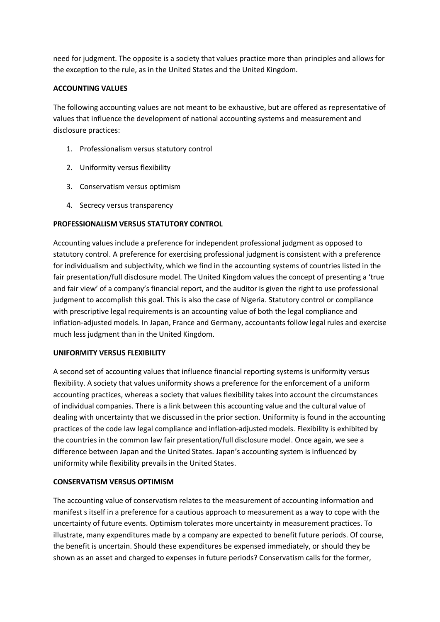need for judgment. The opposite is a society that values practice more than principles and allows for the exception to the rule, as in the United States and the United Kingdom.

## **ACCOUNTING VALUES**

The following accounting values are not meant to be exhaustive, but are offered as representative of values that influence the development of national accounting systems and measurement and disclosure practices:

- 1. Professionalism versus statutory control
- 2. Uniformity versus flexibility
- 3. Conservatism versus optimism
- 4. Secrecy versus transparency

## **PROFESSIONALISM VERSUS STATUTORY CONTROL**

Accounting values include a preference for independent professional judgment as opposed to statutory control. A preference for exercising professional judgment is consistent with a preference for individualism and subjectivity, which we find in the accounting systems of countries listed in the fair presentation/full disclosure model. The United Kingdom values the concept of presenting a 'true and fair view' of a company's financial report, and the auditor is given the right to use professional judgment to accomplish this goal. This is also the case of Nigeria. Statutory control or compliance with prescriptive legal requirements is an accounting value of both the legal compliance and inflation-adjusted models. In Japan, France and Germany, accountants follow legal rules and exercise much less judgment than in the United Kingdom.

### **UNIFORMITY VERSUS FLEXIBILITY**

A second set of accounting values that influence financial reporting systems is uniformity versus flexibility. A society that values uniformity shows a preference for the enforcement of a uniform accounting practices, whereas a society that values flexibility takes into account the circumstances of individual companies. There is a link between this accounting value and the cultural value of dealing with uncertainty that we discussed in the prior section. Uniformity is found in the accounting practices of the code law legal compliance and inflation-adjusted models. Flexibility is exhibited by the countries in the common law fair presentation/full disclosure model. Once again, we see a difference between Japan and the United States. Japan's accounting system is influenced by uniformity while flexibility prevails in the United States.

### **CONSERVATISM VERSUS OPTIMISM**

The accounting value of conservatism relates to the measurement of accounting information and manifest s itself in a preference for a cautious approach to measurement as a way to cope with the uncertainty of future events. Optimism tolerates more uncertainty in measurement practices. To illustrate, many expenditures made by a company are expected to benefit future periods. Of course, the benefit is uncertain. Should these expenditures be expensed immediately, or should they be shown as an asset and charged to expenses in future periods? Conservatism calls for the former,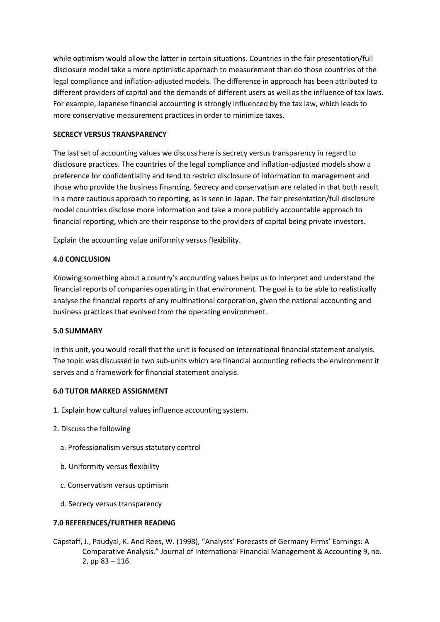while optimism would allow the latter in certain situations. Countries in the fair presentation/full disclosure model take a more optimistic approach to measurement than do those countries of the legal compliance and inflation-adjusted models. The difference in approach has been attributed to different providers of capital and the demands of different users as well as the influence of tax laws. For example, Japanese financial accounting is strongly influenced by the tax law, which leads to more conservative measurement practices in order to minimize taxes.

### **SECRECY VERSUS TRANSPARENCY**

The last set of accounting values we discuss here is secrecy versus transparency in regard to disclosure practices. The countries of the legal compliance and inflation-adjusted models show a preference for confidentiality and tend to restrict disclosure of information to management and those who provide the business financing. Secrecy and conservatism are related in that both result in a more cautious approach to reporting, as is seen in Japan. The fair presentation/full disclosure model countries disclose more information and take a more publicly accountable approach to financial reporting, which are their response to the providers of capital being private investors.

Explain the accounting value uniformity versus flexibility.

## **4.0 CONCLUSION**

Knowing something about a country's accounting values helps us to interpret and understand the financial reports of companies operating in that environment. The goal is to be able to realistically analyse the financial reports of any multinational corporation, given the national accounting and business practices that evolved from the operating environment.

### **5.0 SUMMARY**

In this unit, you would recall that the unit is focused on international financial statement analysis. The topic was discussed in two sub-units which are financial accounting reflects the environment it serves and a framework for financial statement analysis.

### **6.0 TUTOR MARKED ASSIGNMENT**

- 1. Explain how cultural values influence accounting system.
- 2. Discuss the following
	- a. Professionalism versus statutory control
	- b. Uniformity versus flexibility
	- c. Conservatism versus optimism
	- d. Secrecy versus transparency

### **7.0 REFERENCES/FURTHER READING**

Capstaff, J., Paudyal, K. And Rees, W. (1998), "Analysts' Forecasts of Germany Firms' Earnings: A Comparative Analysis." Journal of International Financial Management & Accounting 9, no. 2, pp 83 – 116.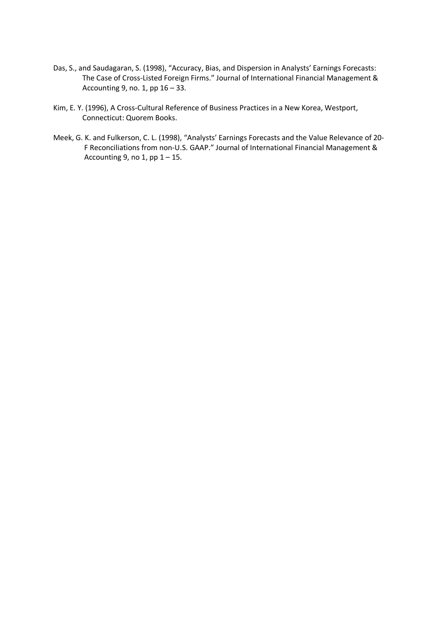- Das, S., and Saudagaran, S. (1998), "Accuracy, Bias, and Dispersion in Analysts' Earnings Forecasts: The Case of Cross-Listed Foreign Firms." Journal of International Financial Management & Accounting 9, no. 1, pp 16 – 33.
- Kim, E. Y. (1996), A Cross-Cultural Reference of Business Practices in a New Korea, Westport, Connecticut: Quorem Books.
- Meek, G. K. and Fulkerson, C. L. (1998), "Analysts' Earnings Forecasts and the Value Relevance of 20- F Reconciliations from non-U.S. GAAP." Journal of International Financial Management & Accounting 9, no 1, pp  $1 - 15$ .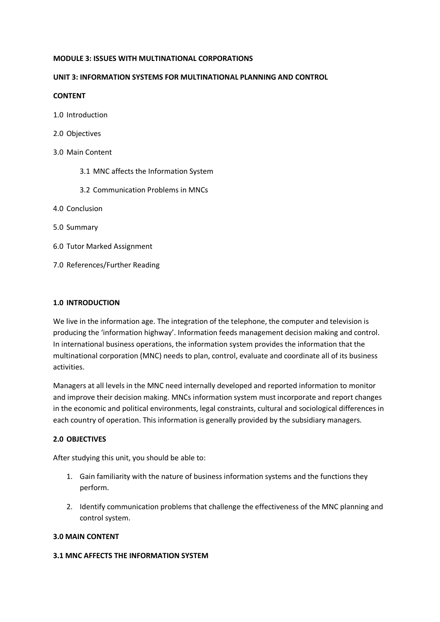#### **MODULE 3: ISSUES WITH MULTINATIONAL CORPORATIONS**

### **UNIT 3: INFORMATION SYSTEMS FOR MULTINATIONAL PLANNING AND CONTROL**

### **CONTENT**

- 1.0 Introduction
- 2.0 Objectives
- 3.0 Main Content
	- 3.1 MNC affects the Information System
	- 3.2 Communication Problems in MNCs
- 4.0 Conclusion
- 5.0 Summary
- 6.0 Tutor Marked Assignment
- 7.0 References/Further Reading

## **1.0 INTRODUCTION**

We live in the information age. The integration of the telephone, the computer and television is producing the 'information highway'. Information feeds management decision making and control. In international business operations, the information system provides the information that the multinational corporation (MNC) needs to plan, control, evaluate and coordinate all of its business activities.

Managers at all levels in the MNC need internally developed and reported information to monitor and improve their decision making. MNCs information system must incorporate and report changes in the economic and political environments, legal constraints, cultural and sociological differences in each country of operation. This information is generally provided by the subsidiary managers.

### **2.0 OBJECTIVES**

After studying this unit, you should be able to:

- 1. Gain familiarity with the nature of business information systems and the functions they perform.
- 2. Identify communication problems that challenge the effectiveness of the MNC planning and control system.

### **3.0 MAIN CONTENT**

### **3.1 MNC AFFECTS THE INFORMATION SYSTEM**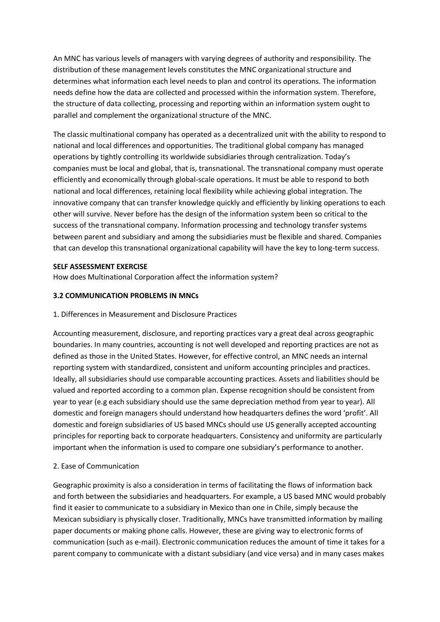An MNC has various levels of managers with varying degrees of authority and responsibility. The distribution of these management levels constitutes the MNC organizational structure and determines what information each level needs to plan and control its operations. The information needs define how the data are collected and processed within the information system. Therefore, the structure of data collecting, processing and reporting within an information system ought to parallel and complement the organizational structure of the MNC.

The classic multinational company has operated as a decentralized unit with the ability to respond to national and local differences and opportunities. The traditional global company has managed operations by tightly controlling its worldwide subsidiaries through centralization. Today's companies must be local and global, that is, transnational. The transnational company must operate efficiently and economically through global-scale operations. It must be able to respond to both national and local differences, retaining local flexibility while achieving global integration. The innovative company that can transfer knowledge quickly and efficiently by linking operations to each other will survive. Never before has the design of the information system been so critical to the success of the transnational company. Information processing and technology transfer systems between parent and subsidiary and among the subsidiaries must be flexible and shared. Companies that can develop this transnational organizational capability will have the key to long-term success.

## **SELF ASSESSMENT EXERCISE**

How does Multinational Corporation affect the information system?

# **3.2 COMMUNICATION PROBLEMS IN MNCs**

### 1. Differences in Measurement and Disclosure Practices

Accounting measurement, disclosure, and reporting practices vary a great deal across geographic boundaries. In many countries, accounting is not well developed and reporting practices are not as defined as those in the United States. However, for effective control, an MNC needs an internal reporting system with standardized, consistent and uniform accounting principles and practices. Ideally, all subsidiaries should use comparable accounting practices. Assets and liabilities should be valued and reported according to a common plan. Expense recognition should be consistent from year to year (e.g each subsidiary should use the same depreciation method from year to year). All domestic and foreign managers should understand how headquarters defines the word 'profit'. All domestic and foreign subsidiaries of US based MNCs should use US generally accepted accounting principles for reporting back to corporate headquarters. Consistency and uniformity are particularly important when the information is used to compare one subsidiary's performance to another.

### 2. Ease of Communication

Geographic proximity is also a consideration in terms of facilitating the flows of information back and forth between the subsidiaries and headquarters. For example, a US based MNC would probably find it easier to communicate to a subsidiary in Mexico than one in Chile, simply because the Mexican subsidiary is physically closer. Traditionally, MNCs have transmitted information by mailing paper documents or making phone calls. However, these are giving way to electronic forms of communication (such as e-mail). Electronic communication reduces the amount of time it takes for a parent company to communicate with a distant subsidiary (and vice versa) and in many cases makes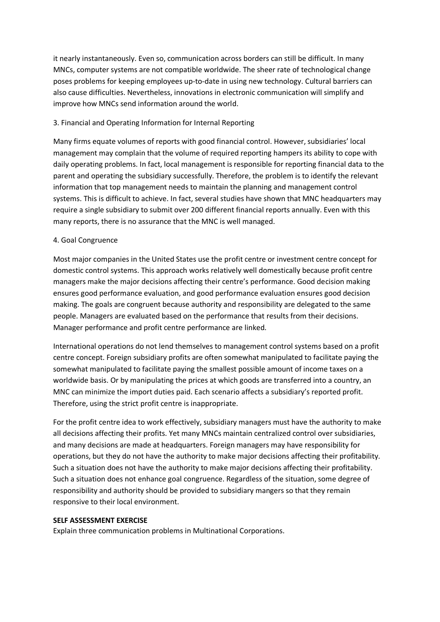it nearly instantaneously. Even so, communication across borders can still be difficult. In many MNCs, computer systems are not compatible worldwide. The sheer rate of technological change poses problems for keeping employees up-to-date in using new technology. Cultural barriers can also cause difficulties. Nevertheless, innovations in electronic communication will simplify and improve how MNCs send information around the world.

## 3. Financial and Operating Information for Internal Reporting

Many firms equate volumes of reports with good financial control. However, subsidiaries' local management may complain that the volume of required reporting hampers its ability to cope with daily operating problems. In fact, local management is responsible for reporting financial data to the parent and operating the subsidiary successfully. Therefore, the problem is to identify the relevant information that top management needs to maintain the planning and management control systems. This is difficult to achieve. In fact, several studies have shown that MNC headquarters may require a single subsidiary to submit over 200 different financial reports annually. Even with this many reports, there is no assurance that the MNC is well managed.

## 4. Goal Congruence

Most major companies in the United States use the profit centre or investment centre concept for domestic control systems. This approach works relatively well domestically because profit centre managers make the major decisions affecting their centre's performance. Good decision making ensures good performance evaluation, and good performance evaluation ensures good decision making. The goals are congruent because authority and responsibility are delegated to the same people. Managers are evaluated based on the performance that results from their decisions. Manager performance and profit centre performance are linked.

International operations do not lend themselves to management control systems based on a profit centre concept. Foreign subsidiary profits are often somewhat manipulated to facilitate paying the somewhat manipulated to facilitate paying the smallest possible amount of income taxes on a worldwide basis. Or by manipulating the prices at which goods are transferred into a country, an MNC can minimize the import duties paid. Each scenario affects a subsidiary's reported profit. Therefore, using the strict profit centre is inappropriate.

For the profit centre idea to work effectively, subsidiary managers must have the authority to make all decisions affecting their profits. Yet many MNCs maintain centralized control over subsidiaries, and many decisions are made at headquarters. Foreign managers may have responsibility for operations, but they do not have the authority to make major decisions affecting their profitability. Such a situation does not have the authority to make major decisions affecting their profitability. Such a situation does not enhance goal congruence. Regardless of the situation, some degree of responsibility and authority should be provided to subsidiary mangers so that they remain responsive to their local environment.

### **SELF ASSESSMENT EXERCISE**

Explain three communication problems in Multinational Corporations.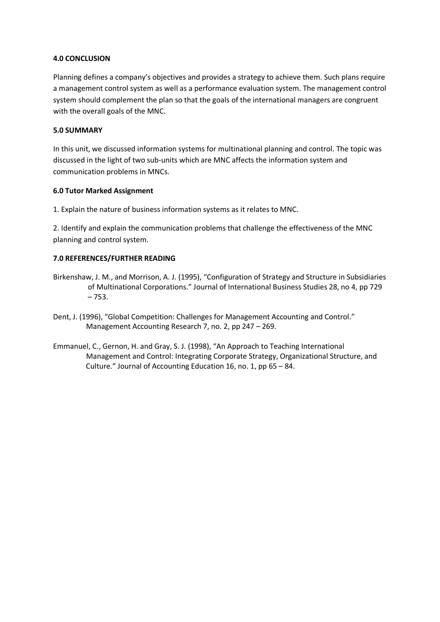### **4.0 CONCLUSION**

Planning defines a company's objectives and provides a strategy to achieve them. Such plans require a management control system as well as a performance evaluation system. The management control system should complement the plan so that the goals of the international managers are congruent with the overall goals of the MNC.

## **5.0 SUMMARY**

In this unit, we discussed information systems for multinational planning and control. The topic was discussed in the light of two sub-units which are MNC affects the information system and communication problems in MNCs.

## **6.0 Tutor Marked Assignment**

1. Explain the nature of business information systems as it relates to MNC.

2. Identify and explain the communication problems that challenge the effectiveness of the MNC planning and control system.

# **7.0 REFERENCES/FURTHER READING**

- Birkenshaw, J. M., and Morrison, A. J. (1995), "Configuration of Strategy and Structure in Subsidiaries of Multinational Corporations." Journal of International Business Studies 28, no 4, pp 729 – 753.
- Dent, J. (1996), "Global Competition: Challenges for Management Accounting and Control." Management Accounting Research 7, no. 2, pp 247 – 269.
- Emmanuel, C., Gernon, H. and Gray, S. J. (1998), "An Approach to Teaching International Management and Control: Integrating Corporate Strategy, Organizational Structure, and Culture." Journal of Accounting Education 16, no. 1, pp 65 – 84.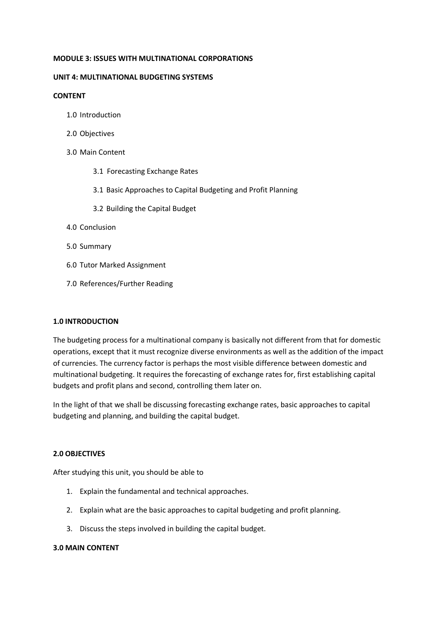#### **MODULE 3: ISSUES WITH MULTINATIONAL CORPORATIONS**

#### **UNIT 4: MULTINATIONAL BUDGETING SYSTEMS**

#### **CONTENT**

- 1.0 Introduction
- 2.0 Objectives
- 3.0 Main Content
	- 3.1 Forecasting Exchange Rates
	- 3.1 Basic Approaches to Capital Budgeting and Profit Planning
	- 3.2 Building the Capital Budget
- 4.0 Conclusion
- 5.0 Summary
- 6.0 Tutor Marked Assignment
- 7.0 References/Further Reading

#### **1.0 INTRODUCTION**

The budgeting process for a multinational company is basically not different from that for domestic operations, except that it must recognize diverse environments as well as the addition of the impact of currencies. The currency factor is perhaps the most visible difference between domestic and multinational budgeting. It requires the forecasting of exchange rates for, first establishing capital budgets and profit plans and second, controlling them later on.

In the light of that we shall be discussing forecasting exchange rates, basic approaches to capital budgeting and planning, and building the capital budget.

### **2.0 OBJECTIVES**

After studying this unit, you should be able to

- 1. Explain the fundamental and technical approaches.
- 2. Explain what are the basic approaches to capital budgeting and profit planning.
- 3. Discuss the steps involved in building the capital budget.

### **3.0 MAIN CONTENT**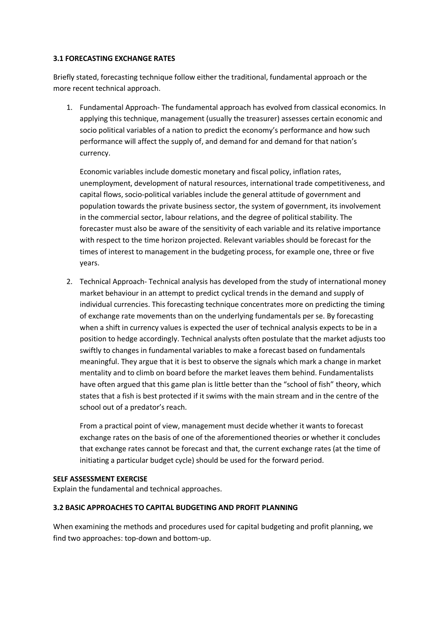### **3.1 FORECASTING EXCHANGE RATES**

Briefly stated, forecasting technique follow either the traditional, fundamental approach or the more recent technical approach.

1. Fundamental Approach- The fundamental approach has evolved from classical economics. In applying this technique, management (usually the treasurer) assesses certain economic and socio political variables of a nation to predict the economy's performance and how such performance will affect the supply of, and demand for and demand for that nation's currency.

Economic variables include domestic monetary and fiscal policy, inflation rates, unemployment, development of natural resources, international trade competitiveness, and capital flows, socio-political variables include the general attitude of government and population towards the private business sector, the system of government, its involvement in the commercial sector, labour relations, and the degree of political stability. The forecaster must also be aware of the sensitivity of each variable and its relative importance with respect to the time horizon projected. Relevant variables should be forecast for the times of interest to management in the budgeting process, for example one, three or five years.

2. Technical Approach- Technical analysis has developed from the study of international money market behaviour in an attempt to predict cyclical trends in the demand and supply of individual currencies. This forecasting technique concentrates more on predicting the timing of exchange rate movements than on the underlying fundamentals per se. By forecasting when a shift in currency values is expected the user of technical analysis expects to be in a position to hedge accordingly. Technical analysts often postulate that the market adjusts too swiftly to changes in fundamental variables to make a forecast based on fundamentals meaningful. They argue that it is best to observe the signals which mark a change in market mentality and to climb on board before the market leaves them behind. Fundamentalists have often argued that this game plan is little better than the "school of fish" theory, which states that a fish is best protected if it swims with the main stream and in the centre of the school out of a predator's reach.

From a practical point of view, management must decide whether it wants to forecast exchange rates on the basis of one of the aforementioned theories or whether it concludes that exchange rates cannot be forecast and that, the current exchange rates (at the time of initiating a particular budget cycle) should be used for the forward period.

### **SELF ASSESSMENT EXERCISE**

Explain the fundamental and technical approaches.

### **3.2 BASIC APPROACHES TO CAPITAL BUDGETING AND PROFIT PLANNING**

When examining the methods and procedures used for capital budgeting and profit planning, we find two approaches: top-down and bottom-up.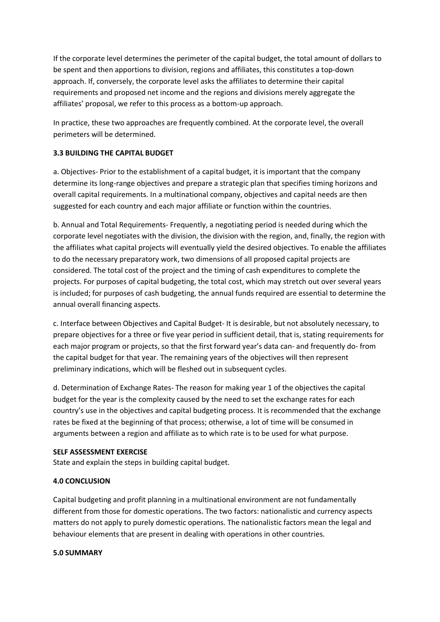If the corporate level determines the perimeter of the capital budget, the total amount of dollars to be spent and then apportions to division, regions and affiliates, this constitutes a top-down approach. If, conversely, the corporate level asks the affiliates to determine their capital requirements and proposed net income and the regions and divisions merely aggregate the affiliates' proposal, we refer to this process as a bottom-up approach.

In practice, these two approaches are frequently combined. At the corporate level, the overall perimeters will be determined.

# **3.3 BUILDING THE CAPITAL BUDGET**

a. Objectives- Prior to the establishment of a capital budget, it is important that the company determine its long-range objectives and prepare a strategic plan that specifies timing horizons and overall capital requirements. In a multinational company, objectives and capital needs are then suggested for each country and each major affiliate or function within the countries.

b. Annual and Total Requirements- Frequently, a negotiating period is needed during which the corporate level negotiates with the division, the division with the region, and, finally, the region with the affiliates what capital projects will eventually yield the desired objectives. To enable the affiliates to do the necessary preparatory work, two dimensions of all proposed capital projects are considered. The total cost of the project and the timing of cash expenditures to complete the projects. For purposes of capital budgeting, the total cost, which may stretch out over several years is included; for purposes of cash budgeting, the annual funds required are essential to determine the annual overall financing aspects.

c. Interface between Objectives and Capital Budget- It is desirable, but not absolutely necessary, to prepare objectives for a three or five year period in sufficient detail, that is, stating requirements for each major program or projects, so that the first forward year's data can- and frequently do- from the capital budget for that year. The remaining years of the objectives will then represent preliminary indications, which will be fleshed out in subsequent cycles.

d. Determination of Exchange Rates- The reason for making year 1 of the objectives the capital budget for the year is the complexity caused by the need to set the exchange rates for each country's use in the objectives and capital budgeting process. It is recommended that the exchange rates be fixed at the beginning of that process; otherwise, a lot of time will be consumed in arguments between a region and affiliate as to which rate is to be used for what purpose.

### **SELF ASSESSMENT EXERCISE**

State and explain the steps in building capital budget.

### **4.0 CONCLUSION**

Capital budgeting and profit planning in a multinational environment are not fundamentally different from those for domestic operations. The two factors: nationalistic and currency aspects matters do not apply to purely domestic operations. The nationalistic factors mean the legal and behaviour elements that are present in dealing with operations in other countries.

#### **5.0 SUMMARY**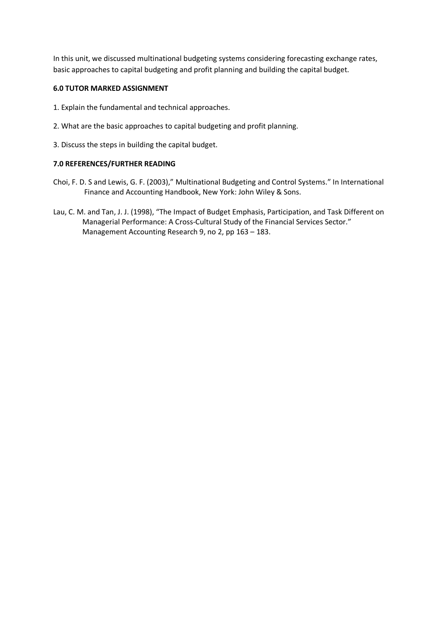In this unit, we discussed multinational budgeting systems considering forecasting exchange rates, basic approaches to capital budgeting and profit planning and building the capital budget.

# **6.0 TUTOR MARKED ASSIGNMENT**

- 1. Explain the fundamental and technical approaches.
- 2. What are the basic approaches to capital budgeting and profit planning.
- 3. Discuss the steps in building the capital budget.

## **7.0 REFERENCES/FURTHER READING**

- Choi, F. D. S and Lewis, G. F. (2003)," Multinational Budgeting and Control Systems." In International Finance and Accounting Handbook, New York: John Wiley & Sons.
- Lau, C. M. and Tan, J. J. (1998), "The Impact of Budget Emphasis, Participation, and Task Different on Managerial Performance: A Cross-Cultural Study of the Financial Services Sector." Management Accounting Research 9, no 2, pp 163 – 183.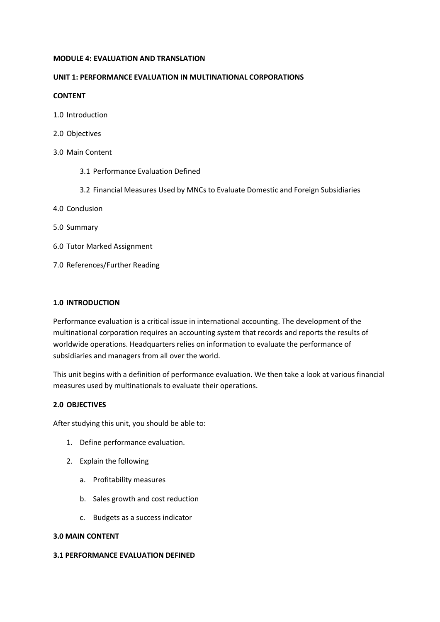#### **MODULE 4: EVALUATION AND TRANSLATION**

## **UNIT 1: PERFORMANCE EVALUATION IN MULTINATIONAL CORPORATIONS**

### **CONTENT**

- 1.0 Introduction
- 2.0 Objectives
- 3.0 Main Content
	- 3.1 Performance Evaluation Defined
	- 3.2 Financial Measures Used by MNCs to Evaluate Domestic and Foreign Subsidiaries
- 4.0 Conclusion
- 5.0 Summary
- 6.0 Tutor Marked Assignment
- 7.0 References/Further Reading

## **1.0 INTRODUCTION**

Performance evaluation is a critical issue in international accounting. The development of the multinational corporation requires an accounting system that records and reports the results of worldwide operations. Headquarters relies on information to evaluate the performance of subsidiaries and managers from all over the world.

This unit begins with a definition of performance evaluation. We then take a look at various financial measures used by multinationals to evaluate their operations.

### **2.0 OBJECTIVES**

After studying this unit, you should be able to:

- 1. Define performance evaluation.
- 2. Explain the following
	- a. Profitability measures
	- b. Sales growth and cost reduction
	- c. Budgets as a success indicator

### **3.0 MAIN CONTENT**

## **3.1 PERFORMANCE EVALUATION DEFINED**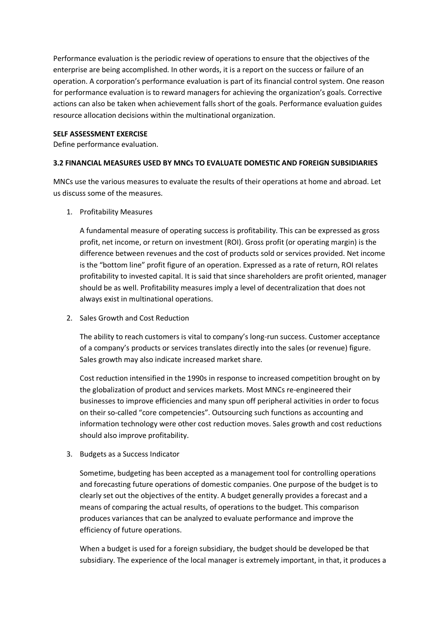Performance evaluation is the periodic review of operations to ensure that the objectives of the enterprise are being accomplished. In other words, it is a report on the success or failure of an operation. A corporation's performance evaluation is part of its financial control system. One reason for performance evaluation is to reward managers for achieving the organization's goals. Corrective actions can also be taken when achievement falls short of the goals. Performance evaluation guides resource allocation decisions within the multinational organization.

### **SELF ASSESSMENT EXERCISE**

Define performance evaluation.

# **3.2 FINANCIAL MEASURES USED BY MNCs TO EVALUATE DOMESTIC AND FOREIGN SUBSIDIARIES**

MNCs use the various measures to evaluate the results of their operations at home and abroad. Let us discuss some of the measures.

1. Profitability Measures

A fundamental measure of operating success is profitability. This can be expressed as gross profit, net income, or return on investment (ROI). Gross profit (or operating margin) is the difference between revenues and the cost of products sold or services provided. Net income is the "bottom line" profit figure of an operation. Expressed as a rate of return, ROI relates profitability to invested capital. It is said that since shareholders are profit oriented, manager should be as well. Profitability measures imply a level of decentralization that does not always exist in multinational operations.

2. Sales Growth and Cost Reduction

The ability to reach customers is vital to company's long-run success. Customer acceptance of a company's products or services translates directly into the sales (or revenue) figure. Sales growth may also indicate increased market share.

Cost reduction intensified in the 1990s in response to increased competition brought on by the globalization of product and services markets. Most MNCs re-engineered their businesses to improve efficiencies and many spun off peripheral activities in order to focus on their so-called "core competencies". Outsourcing such functions as accounting and information technology were other cost reduction moves. Sales growth and cost reductions should also improve profitability.

3. Budgets as a Success Indicator

Sometime, budgeting has been accepted as a management tool for controlling operations and forecasting future operations of domestic companies. One purpose of the budget is to clearly set out the objectives of the entity. A budget generally provides a forecast and a means of comparing the actual results, of operations to the budget. This comparison produces variances that can be analyzed to evaluate performance and improve the efficiency of future operations.

When a budget is used for a foreign subsidiary, the budget should be developed be that subsidiary. The experience of the local manager is extremely important, in that, it produces a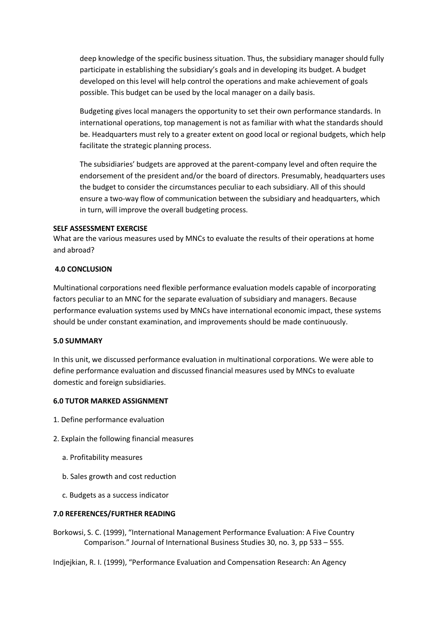deep knowledge of the specific business situation. Thus, the subsidiary manager should fully participate in establishing the subsidiary's goals and in developing its budget. A budget developed on this level will help control the operations and make achievement of goals possible. This budget can be used by the local manager on a daily basis.

Budgeting gives local managers the opportunity to set their own performance standards. In international operations, top management is not as familiar with what the standards should be. Headquarters must rely to a greater extent on good local or regional budgets, which help facilitate the strategic planning process.

The subsidiaries' budgets are approved at the parent-company level and often require the endorsement of the president and/or the board of directors. Presumably, headquarters uses the budget to consider the circumstances peculiar to each subsidiary. All of this should ensure a two-way flow of communication between the subsidiary and headquarters, which in turn, will improve the overall budgeting process.

#### **SELF ASSESSMENT EXERCISE**

What are the various measures used by MNCs to evaluate the results of their operations at home and abroad?

### **4.0 CONCLUSION**

Multinational corporations need flexible performance evaluation models capable of incorporating factors peculiar to an MNC for the separate evaluation of subsidiary and managers. Because performance evaluation systems used by MNCs have international economic impact, these systems should be under constant examination, and improvements should be made continuously.

### **5.0 SUMMARY**

In this unit, we discussed performance evaluation in multinational corporations. We were able to define performance evaluation and discussed financial measures used by MNCs to evaluate domestic and foreign subsidiaries.

### **6.0 TUTOR MARKED ASSIGNMENT**

- 1. Define performance evaluation
- 2. Explain the following financial measures
	- a. Profitability measures
	- b. Sales growth and cost reduction
	- c. Budgets as a success indicator

### **7.0 REFERENCES/FURTHER READING**

Borkowsi, S. C. (1999), "International Management Performance Evaluation: A Five Country Comparison." Journal of International Business Studies 30, no. 3, pp 533 – 555.

Indjejkian, R. I. (1999), "Performance Evaluation and Compensation Research: An Agency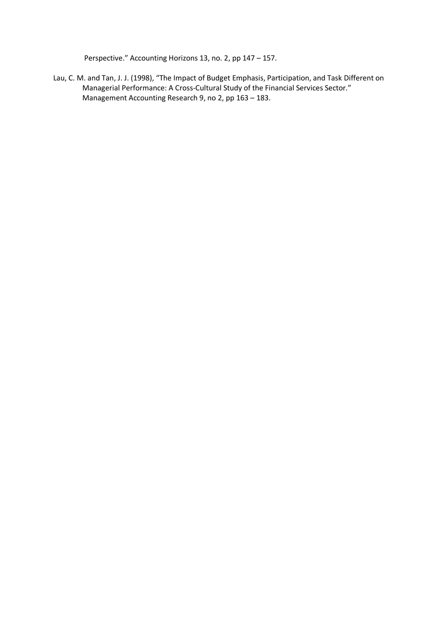Perspective." Accounting Horizons 13, no. 2, pp 147 – 157.

Lau, C. M. and Tan, J. J. (1998), "The Impact of Budget Emphasis, Participation, and Task Different on Managerial Performance: A Cross-Cultural Study of the Financial Services Sector." Management Accounting Research 9, no 2, pp 163 – 183.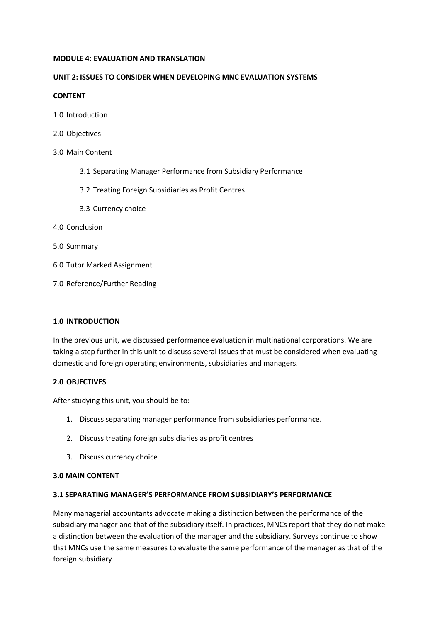#### **MODULE 4: EVALUATION AND TRANSLATION**

## **UNIT 2: ISSUES TO CONSIDER WHEN DEVELOPING MNC EVALUATION SYSTEMS**

### **CONTENT**

- 1.0 Introduction
- 2.0 Objectives
- 3.0 Main Content
	- 3.1 Separating Manager Performance from Subsidiary Performance
	- 3.2 Treating Foreign Subsidiaries as Profit Centres
	- 3.3 Currency choice
- 4.0 Conclusion
- 5.0 Summary
- 6.0 Tutor Marked Assignment
- 7.0 Reference/Further Reading

### **1.0 INTRODUCTION**

In the previous unit, we discussed performance evaluation in multinational corporations. We are taking a step further in this unit to discuss several issues that must be considered when evaluating domestic and foreign operating environments, subsidiaries and managers.

# **2.0 OBJECTIVES**

After studying this unit, you should be to:

- 1. Discuss separating manager performance from subsidiaries performance.
- 2. Discuss treating foreign subsidiaries as profit centres
- 3. Discuss currency choice

# **3.0 MAIN CONTENT**

# **3.1 SEPARATING MANAGER'S PERFORMANCE FROM SUBSIDIARY'S PERFORMANCE**

Many managerial accountants advocate making a distinction between the performance of the subsidiary manager and that of the subsidiary itself. In practices, MNCs report that they do not make a distinction between the evaluation of the manager and the subsidiary. Surveys continue to show that MNCs use the same measures to evaluate the same performance of the manager as that of the foreign subsidiary.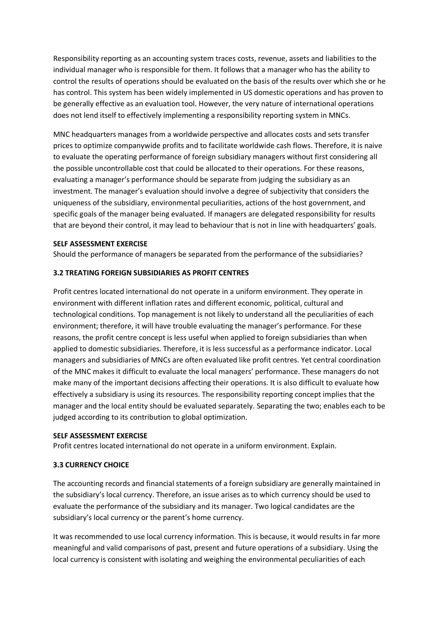Responsibility reporting as an accounting system traces costs, revenue, assets and liabilities to the individual manager who is responsible for them. It follows that a manager who has the ability to control the results of operations should be evaluated on the basis of the results over which she or he has control. This system has been widely implemented in US domestic operations and has proven to be generally effective as an evaluation tool. However, the very nature of international operations does not lend itself to effectively implementing a responsibility reporting system in MNCs.

MNC headquarters manages from a worldwide perspective and allocates costs and sets transfer prices to optimize companywide profits and to facilitate worldwide cash flows. Therefore, it is naive to evaluate the operating performance of foreign subsidiary managers without first considering all the possible uncontrollable cost that could be allocated to their operations. For these reasons, evaluating a manager's performance should be separate from judging the subsidiary as an investment. The manager's evaluation should involve a degree of subjectivity that considers the uniqueness of the subsidiary, environmental peculiarities, actions of the host government, and specific goals of the manager being evaluated. If managers are delegated responsibility for results that are beyond their control, it may lead to behaviour that is not in line with headquarters' goals.

## **SELF ASSESSMENT EXERCISE**

Should the performance of managers be separated from the performance of the subsidiaries?

## **3.2 TREATING FOREIGN SUBSIDIARIES AS PROFIT CENTRES**

Profit centres located international do not operate in a uniform environment. They operate in environment with different inflation rates and different economic, political, cultural and technological conditions. Top management is not likely to understand all the peculiarities of each environment; therefore, it will have trouble evaluating the manager's performance. For these reasons, the profit centre concept is less useful when applied to foreign subsidiaries than when applied to domestic subsidiaries. Therefore, it is less successful as a performance indicator. Local managers and subsidiaries of MNCs are often evaluated like profit centres. Yet central coordination of the MNC makes it difficult to evaluate the local managers' performance. These managers do not make many of the important decisions affecting their operations. It is also difficult to evaluate how effectively a subsidiary is using its resources. The responsibility reporting concept implies that the manager and the local entity should be evaluated separately. Separating the two; enables each to be judged according to its contribution to global optimization.

### **SELF ASSESSMENT EXERCISE**

Profit centres located international do not operate in a uniform environment. Explain.

# **3.3 CURRENCY CHOICE**

The accounting records and financial statements of a foreign subsidiary are generally maintained in the subsidiary's local currency. Therefore, an issue arises as to which currency should be used to evaluate the performance of the subsidiary and its manager. Two logical candidates are the subsidiary's local currency or the parent's home currency.

It was recommended to use local currency information. This is because, it would results in far more meaningful and valid comparisons of past, present and future operations of a subsidiary. Using the local currency is consistent with isolating and weighing the environmental peculiarities of each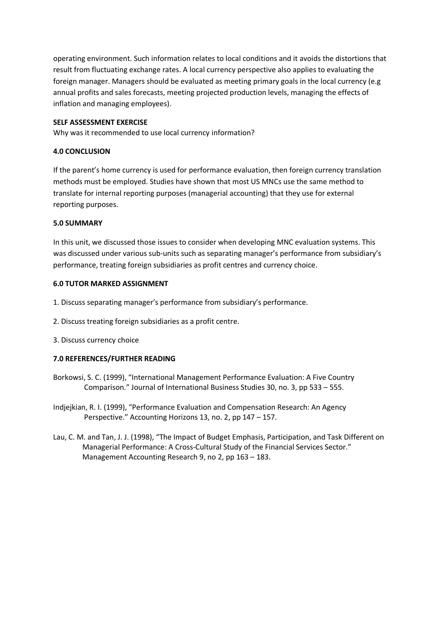operating environment. Such information relates to local conditions and it avoids the distortions that result from fluctuating exchange rates. A local currency perspective also applies to evaluating the foreign manager. Managers should be evaluated as meeting primary goals in the local currency (e.g annual profits and sales forecasts, meeting projected production levels, managing the effects of inflation and managing employees).

## **SELF ASSESSMENT EXERCISE**

Why was it recommended to use local currency information?

## **4.0 CONCLUSION**

If the parent's home currency is used for performance evaluation, then foreign currency translation methods must be employed. Studies have shown that most US MNCs use the same method to translate for internal reporting purposes (managerial accounting) that they use for external reporting purposes.

### **5.0 SUMMARY**

In this unit, we discussed those issues to consider when developing MNC evaluation systems. This was discussed under various sub-units such as separating manager's performance from subsidiary's performance, treating foreign subsidiaries as profit centres and currency choice.

## **6.0 TUTOR MARKED ASSIGNMENT**

- 1. Discuss separating manager's performance from subsidiary's performance.
- 2. Discuss treating foreign subsidiaries as a profit centre.
- 3. Discuss currency choice

# **7.0 REFERENCES/FURTHER READING**

- Borkowsi, S. C. (1999), "International Management Performance Evaluation: A Five Country Comparison." Journal of International Business Studies 30, no. 3, pp 533 – 555.
- Indjejkian, R. I. (1999), "Performance Evaluation and Compensation Research: An Agency Perspective." Accounting Horizons 13, no. 2, pp 147 – 157.
- Lau, C. M. and Tan, J. J. (1998), "The Impact of Budget Emphasis, Participation, and Task Different on Managerial Performance: A Cross-Cultural Study of the Financial Services Sector." Management Accounting Research 9, no 2, pp 163 – 183.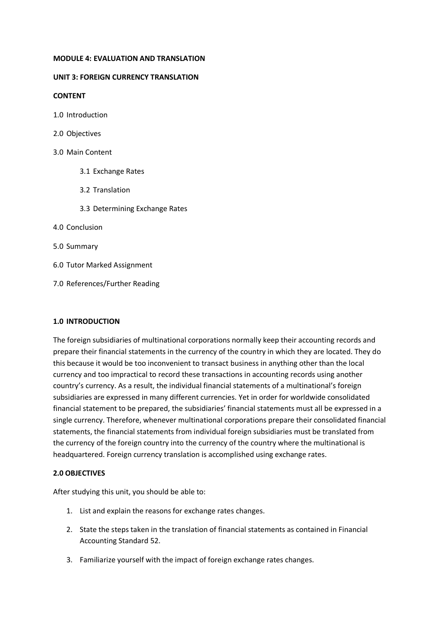#### **MODULE 4: EVALUATION AND TRANSLATION**

### **UNIT 3: FOREIGN CURRENCY TRANSLATION**

### **CONTENT**

- 1.0 Introduction
- 2.0 Objectives
- 3.0 Main Content
	- 3.1 Exchange Rates
	- 3.2 Translation
	- 3.3 Determining Exchange Rates

### 4.0 Conclusion

- 5.0 Summary
- 6.0 Tutor Marked Assignment
- 7.0 References/Further Reading

### **1.0 INTRODUCTION**

The foreign subsidiaries of multinational corporations normally keep their accounting records and prepare their financial statements in the currency of the country in which they are located. They do this because it would be too inconvenient to transact business in anything other than the local currency and too impractical to record these transactions in accounting records using another country's currency. As a result, the individual financial statements of a multinational's foreign subsidiaries are expressed in many different currencies. Yet in order for worldwide consolidated financial statement to be prepared, the subsidiaries' financial statements must all be expressed in a single currency. Therefore, whenever multinational corporations prepare their consolidated financial statements, the financial statements from individual foreign subsidiaries must be translated from the currency of the foreign country into the currency of the country where the multinational is headquartered. Foreign currency translation is accomplished using exchange rates.

# **2.0 OBJECTIVES**

After studying this unit, you should be able to:

- 1. List and explain the reasons for exchange rates changes.
- 2. State the steps taken in the translation of financial statements as contained in Financial Accounting Standard 52.
- 3. Familiarize yourself with the impact of foreign exchange rates changes.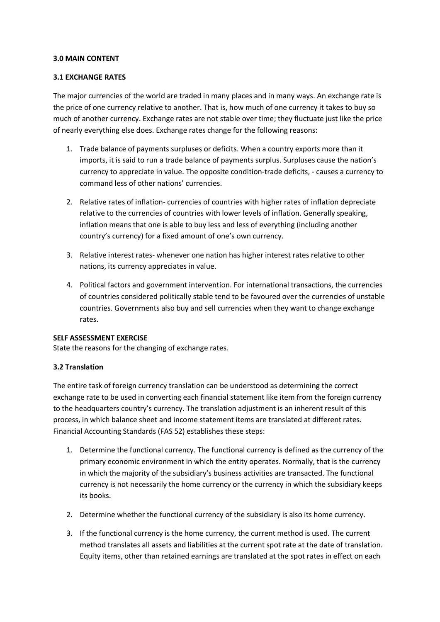#### **3.0 MAIN CONTENT**

### **3.1 EXCHANGE RATES**

The major currencies of the world are traded in many places and in many ways. An exchange rate is the price of one currency relative to another. That is, how much of one currency it takes to buy so much of another currency. Exchange rates are not stable over time; they fluctuate just like the price of nearly everything else does. Exchange rates change for the following reasons:

- 1. Trade balance of payments surpluses or deficits. When a country exports more than it imports, it is said to run a trade balance of payments surplus. Surpluses cause the nation's currency to appreciate in value. The opposite condition-trade deficits, - causes a currency to command less of other nations' currencies.
- 2. Relative rates of inflation- currencies of countries with higher rates of inflation depreciate relative to the currencies of countries with lower levels of inflation. Generally speaking, inflation means that one is able to buy less and less of everything (including another country's currency) for a fixed amount of one's own currency.
- 3. Relative interest rates- whenever one nation has higher interest rates relative to other nations, its currency appreciates in value.
- 4. Political factors and government intervention. For international transactions, the currencies of countries considered politically stable tend to be favoured over the currencies of unstable countries. Governments also buy and sell currencies when they want to change exchange rates.

### **SELF ASSESSMENT EXERCISE**

State the reasons for the changing of exchange rates.

### **3.2 Translation**

The entire task of foreign currency translation can be understood as determining the correct exchange rate to be used in converting each financial statement like item from the foreign currency to the headquarters country's currency. The translation adjustment is an inherent result of this process, in which balance sheet and income statement items are translated at different rates. Financial Accounting Standards (FAS 52) establishes these steps:

- 1. Determine the functional currency. The functional currency is defined as the currency of the primary economic environment in which the entity operates. Normally, that is the currency in which the majority of the subsidiary's business activities are transacted. The functional currency is not necessarily the home currency or the currency in which the subsidiary keeps its books.
- 2. Determine whether the functional currency of the subsidiary is also its home currency.
- 3. If the functional currency is the home currency, the current method is used. The current method translates all assets and liabilities at the current spot rate at the date of translation. Equity items, other than retained earnings are translated at the spot rates in effect on each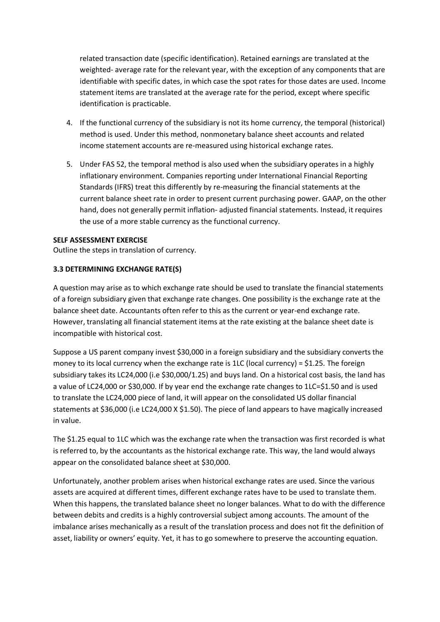related transaction date (specific identification). Retained earnings are translated at the weighted- average rate for the relevant year, with the exception of any components that are identifiable with specific dates, in which case the spot rates for those dates are used. Income statement items are translated at the average rate for the period, except where specific identification is practicable.

- 4. If the functional currency of the subsidiary is not its home currency, the temporal (historical) method is used. Under this method, nonmonetary balance sheet accounts and related income statement accounts are re-measured using historical exchange rates.
- 5. Under FAS 52, the temporal method is also used when the subsidiary operates in a highly inflationary environment. Companies reporting under International Financial Reporting Standards (IFRS) treat this differently by re-measuring the financial statements at the current balance sheet rate in order to present current purchasing power. GAAP, on the other hand, does not generally permit inflation- adjusted financial statements. Instead, it requires the use of a more stable currency as the functional currency.

## **SELF ASSESSMENT EXERCISE**

Outline the steps in translation of currency.

## **3.3 DETERMINING EXCHANGE RATE(S)**

A question may arise as to which exchange rate should be used to translate the financial statements of a foreign subsidiary given that exchange rate changes. One possibility is the exchange rate at the balance sheet date. Accountants often refer to this as the current or year-end exchange rate. However, translating all financial statement items at the rate existing at the balance sheet date is incompatible with historical cost.

Suppose a US parent company invest \$30,000 in a foreign subsidiary and the subsidiary converts the money to its local currency when the exchange rate is 1LC (local currency) =  $$1.25$ . The foreign subsidiary takes its LC24,000 (i.e \$30,000/1.25) and buys land. On a historical cost basis, the land has a value of LC24,000 or \$30,000. If by year end the exchange rate changes to 1LC=\$1.50 and is used to translate the LC24,000 piece of land, it will appear on the consolidated US dollar financial statements at \$36,000 (i.e LC24,000 X \$1.50). The piece of land appears to have magically increased in value.

The \$1.25 equal to 1LC which was the exchange rate when the transaction was first recorded is what is referred to, by the accountants as the historical exchange rate. This way, the land would always appear on the consolidated balance sheet at \$30,000.

Unfortunately, another problem arises when historical exchange rates are used. Since the various assets are acquired at different times, different exchange rates have to be used to translate them. When this happens, the translated balance sheet no longer balances. What to do with the difference between debits and credits is a highly controversial subject among accounts. The amount of the imbalance arises mechanically as a result of the translation process and does not fit the definition of asset, liability or owners' equity. Yet, it has to go somewhere to preserve the accounting equation.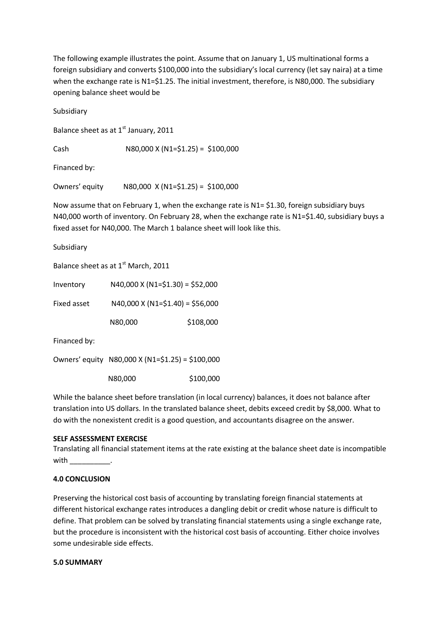The following example illustrates the point. Assume that on January 1, US multinational forms a foreign subsidiary and converts \$100,000 into the subsidiary's local currency (let say naira) at a time when the exchange rate is N1=\$1.25. The initial investment, therefore, is N80,000. The subsidiary opening balance sheet would be

Subsidiary

Balance sheet as at  $1<sup>st</sup>$  January, 2011

Cash N80,000 X (N1=\$1.25) = \$100,000

Financed by:

Owners' equity N80,000 X (N1=\$1.25) = \$100,000

Now assume that on February 1, when the exchange rate is N1= \$1.30, foreign subsidiary buys N40,000 worth of inventory. On February 28, when the exchange rate is N1=\$1.40, subsidiary buys a fixed asset for N40,000. The March 1 balance sheet will look like this.

Subsidiary

Balance sheet as at 1<sup>st</sup> March, 2011

| Inventory    | $N40,000$ X ( $N1 = $1.30$ ) = \$52,000          |           |  |
|--------------|--------------------------------------------------|-----------|--|
| Fixed asset  | $N40,000$ X $(N1=\$1.40) = \$56,000$             |           |  |
|              | N80,000                                          | \$108,000 |  |
| Financed by: |                                                  |           |  |
|              | Owners' equity N80,000 X (N1=\$1.25) = \$100,000 |           |  |

N80,000 \$100,000

While the balance sheet before translation (in local currency) balances, it does not balance after translation into US dollars. In the translated balance sheet, debits exceed credit by \$8,000. What to do with the nonexistent credit is a good question, and accountants disagree on the answer.

## **SELF ASSESSMENT EXERCISE**

Translating all financial statement items at the rate existing at the balance sheet date is incompatible with  $\qquad$ 

## **4.0 CONCLUSION**

Preserving the historical cost basis of accounting by translating foreign financial statements at different historical exchange rates introduces a dangling debit or credit whose nature is difficult to define. That problem can be solved by translating financial statements using a single exchange rate, but the procedure is inconsistent with the historical cost basis of accounting. Either choice involves some undesirable side effects.

## **5.0 SUMMARY**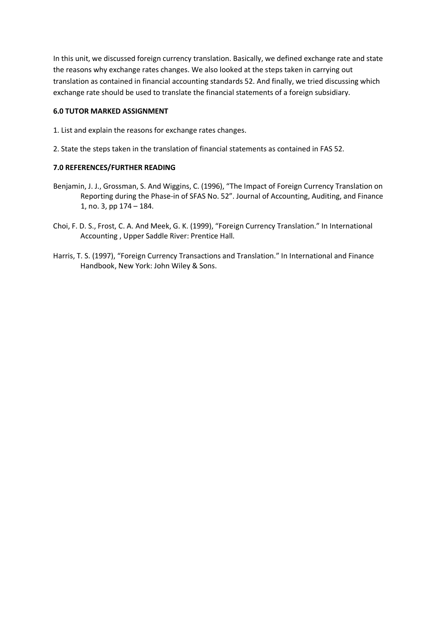In this unit, we discussed foreign currency translation. Basically, we defined exchange rate and state the reasons why exchange rates changes. We also looked at the steps taken in carrying out translation as contained in financial accounting standards 52. And finally, we tried discussing which exchange rate should be used to translate the financial statements of a foreign subsidiary.

## **6.0 TUTOR MARKED ASSIGNMENT**

- 1. List and explain the reasons for exchange rates changes.
- 2. State the steps taken in the translation of financial statements as contained in FAS 52.

## **7.0 REFERENCES/FURTHER READING**

- Benjamin, J. J., Grossman, S. And Wiggins, C. (1996), "The Impact of Foreign Currency Translation on Reporting during the Phase-in of SFAS No. 52". Journal of Accounting, Auditing, and Finance 1, no. 3, pp 174 – 184.
- Choi, F. D. S., Frost, C. A. And Meek, G. K. (1999), "Foreign Currency Translation." In International Accounting , Upper Saddle River: Prentice Hall.
- Harris, T. S. (1997), "Foreign Currency Transactions and Translation." In International and Finance Handbook, New York: John Wiley & Sons.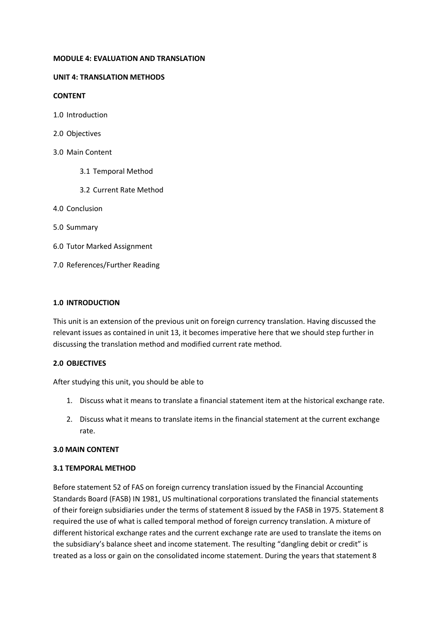### **MODULE 4: EVALUATION AND TRANSLATION**

## **UNIT 4: TRANSLATION METHODS**

### **CONTENT**

- 1.0 Introduction
- 2.0 Objectives
- 3.0 Main Content
	- 3.1 Temporal Method
	- 3.2 Current Rate Method
- 4.0 Conclusion
- 5.0 Summary
- 6.0 Tutor Marked Assignment
- 7.0 References/Further Reading

### **1.0 INTRODUCTION**

This unit is an extension of the previous unit on foreign currency translation. Having discussed the relevant issues as contained in unit 13, it becomes imperative here that we should step further in discussing the translation method and modified current rate method.

## **2.0 OBJECTIVES**

After studying this unit, you should be able to

- 1. Discuss what it means to translate a financial statement item at the historical exchange rate.
- 2. Discuss what it means to translate items in the financial statement at the current exchange rate.

#### **3.0 MAIN CONTENT**

#### **3.1 TEMPORAL METHOD**

Before statement 52 of FAS on foreign currency translation issued by the Financial Accounting Standards Board (FASB) IN 1981, US multinational corporations translated the financial statements of their foreign subsidiaries under the terms of statement 8 issued by the FASB in 1975. Statement 8 required the use of what is called temporal method of foreign currency translation. A mixture of different historical exchange rates and the current exchange rate are used to translate the items on the subsidiary's balance sheet and income statement. The resulting "dangling debit or credit" is treated as a loss or gain on the consolidated income statement. During the years that statement 8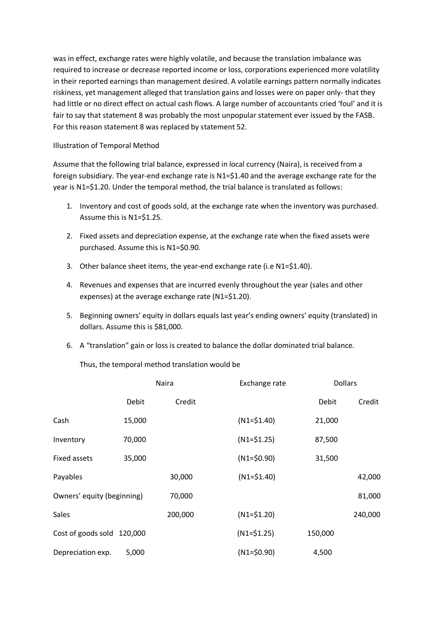was in effect, exchange rates were highly volatile, and because the translation imbalance was required to increase or decrease reported income or loss, corporations experienced more volatility in their reported earnings than management desired. A volatile earnings pattern normally indicates riskiness, yet management alleged that translation gains and losses were on paper only- that they had little or no direct effect on actual cash flows. A large number of accountants cried 'foul' and it is fair to say that statement 8 was probably the most unpopular statement ever issued by the FASB. For this reason statement 8 was replaced by statement 52.

# Illustration of Temporal Method

Assume that the following trial balance, expressed in local currency (Naira), is received from a foreign subsidiary. The year-end exchange rate is N1=\$1.40 and the average exchange rate for the year is N1=\$1.20. Under the temporal method, the trial balance is translated as follows:

- 1. Inventory and cost of goods sold, at the exchange rate when the inventory was purchased. Assume this is N1=\$1.25.
- 2. Fixed assets and depreciation expense, at the exchange rate when the fixed assets were purchased. Assume this is N1=\$0.90.
- 3. Other balance sheet items, the year-end exchange rate (i.e N1=\$1.40).
- 4. Revenues and expenses that are incurred evenly throughout the year (sales and other expenses) at the average exchange rate (N1=\$1.20).
- 5. Beginning owners' equity in dollars equals last year's ending owners' equity (translated) in dollars. Assume this is \$81,000.
- 6. A "translation" gain or loss is created to balance the dollar dominated trial balance.

Thus, the temporal method translation would be

|                            | Naira  |         | Exchange rate  |         | <b>Dollars</b> |  |
|----------------------------|--------|---------|----------------|---------|----------------|--|
|                            | Debit  | Credit  |                | Debit   | Credit         |  |
| Cash                       | 15,000 |         | $(N1 = $1.40)$ | 21,000  |                |  |
| Inventory                  | 70,000 |         | $(N1 = $1.25)$ | 87,500  |                |  |
| Fixed assets               | 35,000 |         | $(N1 = $0.90)$ | 31,500  |                |  |
| Payables                   |        | 30,000  | $(N1 = $1.40)$ |         | 42,000         |  |
| Owners' equity (beginning) |        | 70,000  |                |         | 81,000         |  |
| Sales                      |        | 200,000 | $(N1 = $1.20)$ |         | 240,000        |  |
| Cost of goods sold 120,000 |        |         | $(N1 = $1.25)$ | 150,000 |                |  |
| Depreciation exp.          | 5,000  |         | $(N1 = $0.90)$ | 4,500   |                |  |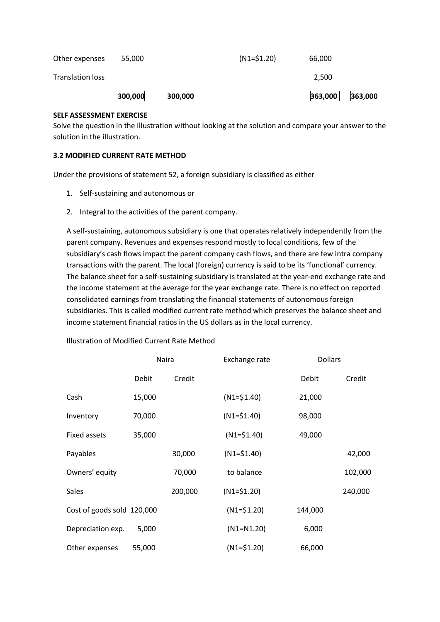|                         | 300,000 | 300,000 |                | 363,000 | 363,000 |
|-------------------------|---------|---------|----------------|---------|---------|
| <b>Translation loss</b> |         |         |                | 2,500   |         |
| Other expenses          | 55,000  |         | $(N1 = $1.20)$ | 66,000  |         |

## **SELF ASSESSMENT EXERCISE**

Solve the question in the illustration without looking at the solution and compare your answer to the solution in the illustration.

# **3.2 MODIFIED CURRENT RATE METHOD**

Under the provisions of statement 52, a foreign subsidiary is classified as either

- 1. Self-sustaining and autonomous or
- 2. Integral to the activities of the parent company.

A self-sustaining, autonomous subsidiary is one that operates relatively independently from the parent company. Revenues and expenses respond mostly to local conditions, few of the subsidiary's cash flows impact the parent company cash flows, and there are few intra company transactions with the parent. The local (foreign) currency is said to be its 'functional' currency. The balance sheet for a self-sustaining subsidiary is translated at the year-end exchange rate and the income statement at the average for the year exchange rate. There is no effect on reported consolidated earnings from translating the financial statements of autonomous foreign subsidiaries. This is called modified current rate method which preserves the balance sheet and income statement financial ratios in the US dollars as in the local currency.

|                            | Naira  |         | Exchange rate  |         | <b>Dollars</b> |  |
|----------------------------|--------|---------|----------------|---------|----------------|--|
|                            | Debit  | Credit  |                | Debit   | Credit         |  |
| Cash                       | 15,000 |         | $(N1 = $1.40)$ | 21,000  |                |  |
| Inventory                  | 70,000 |         | $(N1 = $1.40)$ | 98,000  |                |  |
| Fixed assets               | 35,000 |         | $(N1 = $1.40)$ | 49,000  |                |  |
| Payables                   |        | 30,000  | $(N1 = $1.40)$ |         | 42,000         |  |
| Owners' equity             |        | 70,000  | to balance     |         | 102,000        |  |
| Sales                      |        | 200,000 | $(N1 = $1.20)$ |         | 240,000        |  |
| Cost of goods sold 120,000 |        |         | $(N1 = $1.20)$ | 144,000 |                |  |
| Depreciation exp.          | 5,000  |         | $(N1=N1.20)$   | 6,000   |                |  |
| Other expenses             | 55,000 |         | $(N1 = $1.20)$ | 66,000  |                |  |

Illustration of Modified Current Rate Method